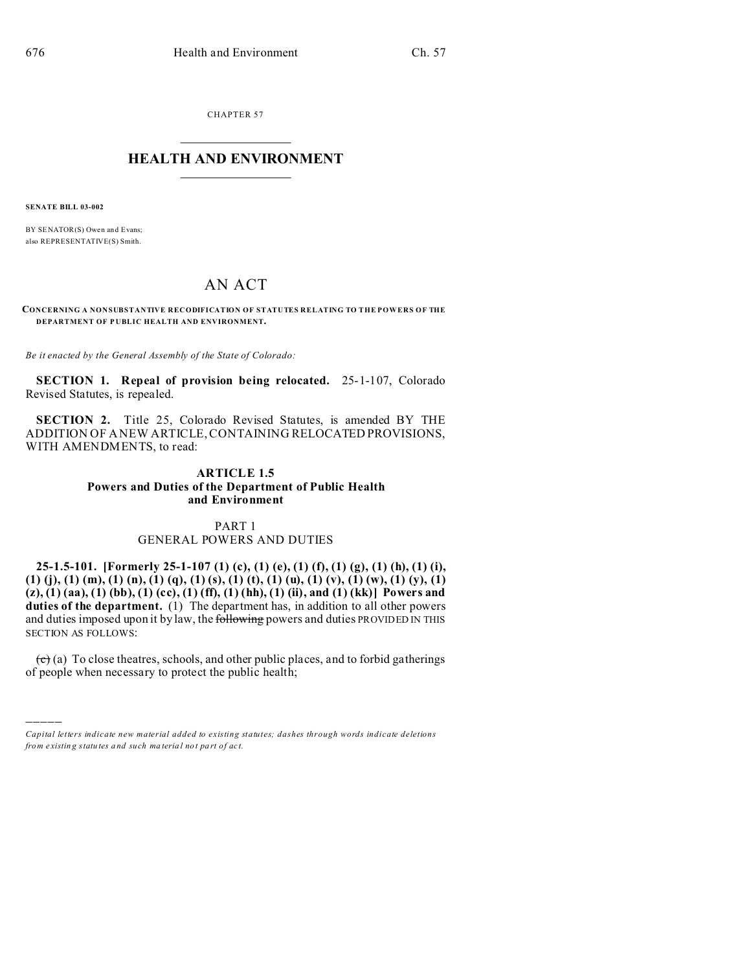CHAPTER 57  $\overline{\phantom{a}}$  , where  $\overline{\phantom{a}}$ 

# **HEALTH AND ENVIRONMENT**  $\_$   $\_$   $\_$   $\_$   $\_$   $\_$   $\_$   $\_$

**SENATE BILL 03-002**

)))))

BY SENATOR(S) Owen and Evans; also REPRESENTATIVE(S) Smith.

# AN ACT

**CONCERNING A NONSUBSTANTIVE RECODIFICATION OF STATUTES RELATING TO THE POWERS OF THE DEPARTMENT OF P UBLIC HEALTH AND ENVIRONMENT.**

*Be it enacted by the General Assembly of the State of Colorado:*

**SECTION 1. Repeal of provision being relocated.** 25-1-107, Colorado Revised Statutes, is repealed.

**SECTION 2.** Title 25, Colorado Revised Statutes, is amended BY THE ADDITION OF A NEW ARTICLE, CONTAINING RELOCATED PROVISIONS, WITH AMENDMENTS, to read:

## **ARTICLE 1.5 Powers and Duties of the Department of Public Health and Environment**

# PART 1 GENERAL POWERS AND DUTIES

**25-1.5-101. [Formerly 25-1-107 (1) (c), (1) (e), (1) (f), (1) (g), (1) (h), (1) (i), (1) (j), (1) (m), (1) (n), (1) (q), (1) (s), (1) (t), (1) (u), (1) (v), (1) (w), (1) (y), (1) (z), (1) (aa), (1) (bb), (1) (cc), (1) (ff), (1) (hh), (1) (ii), and (1) (kk)] Powers and duties of the department.** (1) The department has, in addition to all other powers and duties imposed upon it by law, the following powers and duties PROVIDED IN THIS SECTION AS FOLLOWS:

 $\left(\overrightarrow{c}\right)$  (a) To close theatres, schools, and other public places, and to forbid gatherings of people when necessary to protect the public health;

*Capital letters indicate new material added to existing statutes; dashes through words indicate deletions from e xistin g statu tes a nd such ma teria l no t pa rt of ac t.*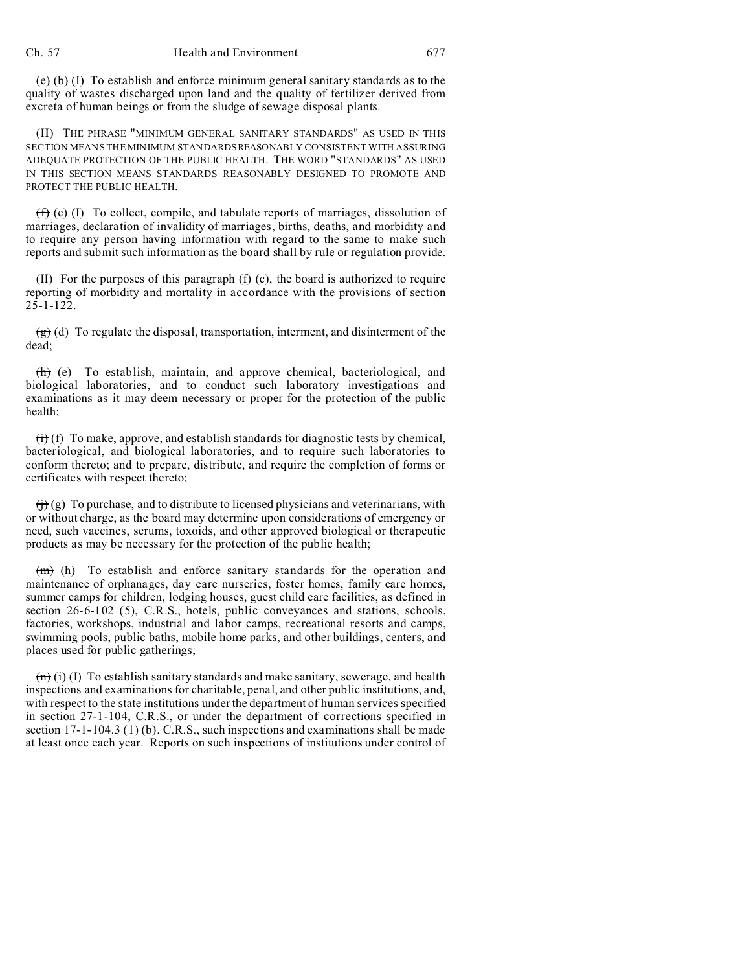$(e)$  (b) (I) To establish and enforce minimum general sanitary standards as to the quality of wastes discharged upon land and the quality of fertilizer derived from excreta of human beings or from the sludge of sewage disposal plants.

(II) THE PHRASE "MINIMUM GENERAL SANITARY STANDARDS" AS USED IN THIS SECTION MEANS THE MINIMUM STANDARDSREASONABLY CONSISTENT WITH ASSURING ADEQUATE PROTECTION OF THE PUBLIC HEALTH. THE WORD "STANDARDS" AS USED IN THIS SECTION MEANS STANDARDS REASONABLY DESIGNED TO PROMOTE AND PROTECT THE PUBLIC HEALTH.

 $(f)$  (c) (I) To collect, compile, and tabulate reports of marriages, dissolution of marriages, declaration of invalidity of marriages, births, deaths, and morbidity and to require any person having information with regard to the same to make such reports and submit such information as the board shall by rule or regulation provide.

(II) For the purposes of this paragraph  $(f)(c)$ , the board is authorized to require reporting of morbidity and mortality in accordance with the provisions of section 25-1-122.

 $\left(\frac{g}{g}\right)$  (d) To regulate the disposal, transportation, interment, and disinterment of the dead;

(h) (e) To establish, maintain, and approve chemical, bacteriological, and biological laboratories, and to conduct such laboratory investigations and examinations as it may deem necessary or proper for the protection of the public health;

 $(f)$  (f) To make, approve, and establish standards for diagnostic tests by chemical, bacteriological, and biological laboratories, and to require such laboratories to conform thereto; and to prepare, distribute, and require the completion of forms or certificates with respect thereto;

 $(f<sup>i</sup>)$  (g) To purchase, and to distribute to licensed physicians and veterinarians, with or without charge, as the board may determine upon considerations of emergency or need, such vaccines, serums, toxoids, and other approved biological or therapeutic products as may be necessary for the protection of the public health;

(m) (h) To establish and enforce sanitary standards for the operation and maintenance of orphanages, day care nurseries, foster homes, family care homes, summer camps for children, lodging houses, guest child care facilities, as defined in section 26-6-102 (5), C.R.S., hotels, public conveyances and stations, schools, factories, workshops, industrial and labor camps, recreational resorts and camps, swimming pools, public baths, mobile home parks, and other buildings, centers, and places used for public gatherings;

 $\overline{m}$  (i) (I) To establish sanitary standards and make sanitary, sewerage, and health inspections and examinations for charitable, penal, and other public institutions, and, with respect to the state institutions under the department of human services specified in section 27-1-104, C.R.S., or under the department of corrections specified in section 17-1-104.3 (1) (b), C.R.S., such inspections and examinations shall be made at least once each year. Reports on such inspections of institutions under control of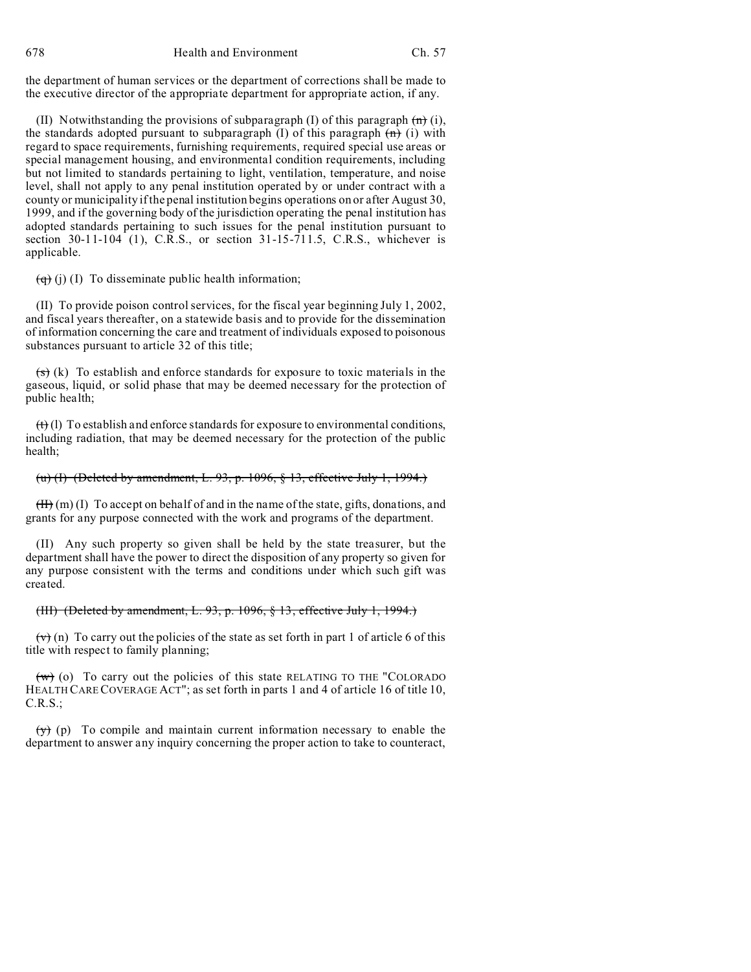the department of human services or the department of corrections shall be made to the executive director of the appropriate department for appropriate action, if any.

(II) Notwithstanding the provisions of subparagraph (I) of this paragraph  $(\overline{n})$  (i), the standards adopted pursuant to subparagraph (I) of this paragraph  $(\overline{n})$  (i) with regard to space requirements, furnishing requirements, required special use areas or special management housing, and environmental condition requirements, including but not limited to standards pertaining to light, ventilation, temperature, and noise level, shall not apply to any penal institution operated by or under contract with a county or municipality if the penal institution begins operations on or after August 30, 1999, and if the governing body of the jurisdiction operating the penal institution has adopted standards pertaining to such issues for the penal institution pursuant to section  $30-11-104$  (1), C.R.S., or section  $31-15-711.5$ , C.R.S., whichever is applicable.

 $\overline{q}(q)(j)$  (I) To disseminate public health information;

(II) To provide poison control services, for the fiscal year beginning July 1, 2002, and fiscal years thereafter, on a statewide basis and to provide for the dissemination of information concerning the care and treatment of individuals exposed to poisonous substances pursuant to article 32 of this title;

 $($ s) (k) To establish and enforce standards for exposure to toxic materials in the gaseous, liquid, or solid phase that may be deemed necessary for the protection of public health;

 $(t)$  (1) To establish and enforce standards for exposure to environmental conditions, including radiation, that may be deemed necessary for the protection of the public health;

#### (u) (I) (Deleted by amendment, L. 93, p. 1096, § 13, effective July 1, 1994.)

 $(Hf)$  (m) (I) To accept on behalf of and in the name of the state, gifts, donations, and grants for any purpose connected with the work and programs of the department.

(II) Any such property so given shall be held by the state treasurer, but the department shall have the power to direct the disposition of any property so given for any purpose consistent with the terms and conditions under which such gift was created.

#### (III) (Deleted by amendment, L. 93, p. 1096, § 13, effective July 1, 1994.)

 $(\forall)$  (n) To carry out the policies of the state as set forth in part 1 of article 6 of this title with respect to family planning;

 $(w)$  (o) To carry out the policies of this state RELATING TO THE "COLORADO" HEALTH CARE COVERAGE ACT"; as set forth in parts 1 and 4 of article 16 of title 10, C.R.S.;

 $(y)$  (p) To compile and maintain current information necessary to enable the department to answer any inquiry concerning the proper action to take to counteract,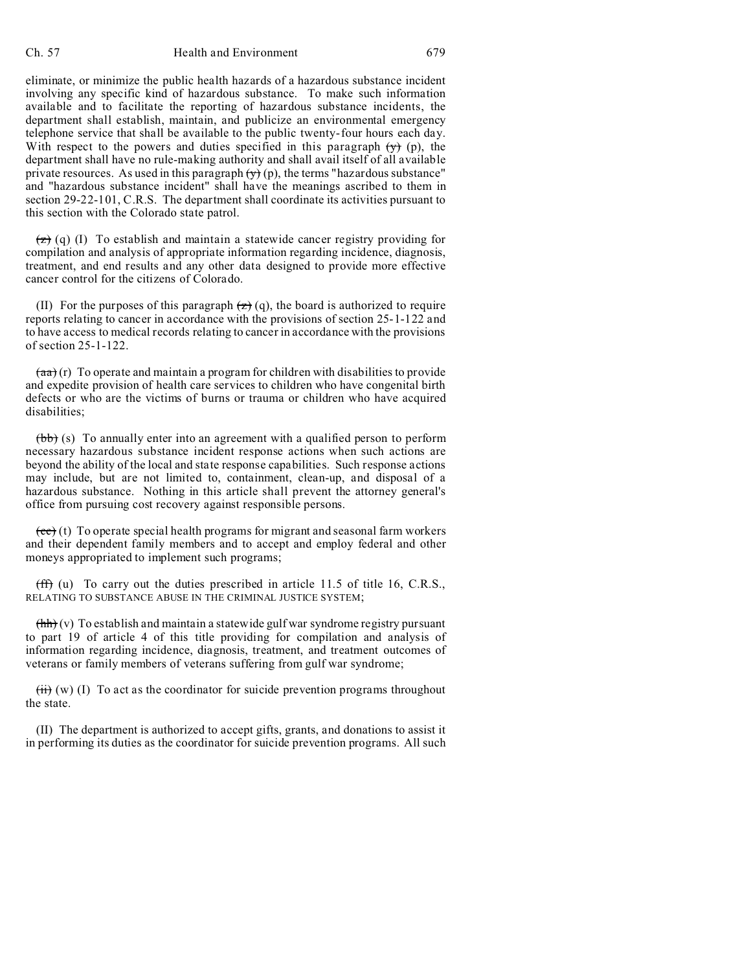#### Ch. 57 Health and Environment 679

eliminate, or minimize the public health hazards of a hazardous substance incident involving any specific kind of hazardous substance. To make such information available and to facilitate the reporting of hazardous substance incidents, the department shall establish, maintain, and publicize an environmental emergency telephone service that shall be available to the public twenty-four hours each day. With respect to the powers and duties specified in this paragraph  $(y)$  (p), the department shall have no rule-making authority and shall avail itself of all available private resources. As used in this paragraph  $(\gamma)$  (p), the terms "hazardous substance" and "hazardous substance incident" shall have the meanings ascribed to them in section 29-22-101, C.R.S. The department shall coordinate its activities pursuant to this section with the Colorado state patrol.

 $\overrightarrow{z}$  (q) (I) To establish and maintain a statewide cancer registry providing for compilation and analysis of appropriate information regarding incidence, diagnosis, treatment, and end results and any other data designed to provide more effective cancer control for the citizens of Colorado.

(II) For the purposes of this paragraph  $\left(\frac{z}{z}\right)$  (q), the board is authorized to require reports relating to cancer in accordance with the provisions of section 25-1-122 and to have access to medical records relating to cancer in accordance with the provisions of section 25-1-122.

 $(a\overrightarrow{a})$  (r) To operate and maintain a program for children with disabilities to provide and expedite provision of health care services to children who have congenital birth defects or who are the victims of burns or trauma or children who have acquired disabilities;

(bb) (s) To annually enter into an agreement with a qualified person to perform necessary hazardous substance incident response actions when such actions are beyond the ability of the local and state response capabilities. Such response actions may include, but are not limited to, containment, clean-up, and disposal of a hazardous substance. Nothing in this article shall prevent the attorney general's office from pursuing cost recovery against responsible persons.

 $(\overrightarrow{ec})$  (t) To operate special health programs for migrant and seasonal farm workers and their dependent family members and to accept and employ federal and other moneys appropriated to implement such programs;

 $(f\hat{f})$  (u) To carry out the duties prescribed in article 11.5 of title 16, C.R.S., RELATING TO SUBSTANCE ABUSE IN THE CRIMINAL JUSTICE SYSTEM;

 $(\frac{h h}{h})(v)$  To establish and maintain a statewide gulf war syndrome registry pursuant to part 19 of article 4 of this title providing for compilation and analysis of information regarding incidence, diagnosis, treatment, and treatment outcomes of veterans or family members of veterans suffering from gulf war syndrome;

 $(iii)$  (w) (I) To act as the coordinator for suicide prevention programs throughout the state.

(II) The department is authorized to accept gifts, grants, and donations to assist it in performing its duties as the coordinator for suicide prevention programs. All such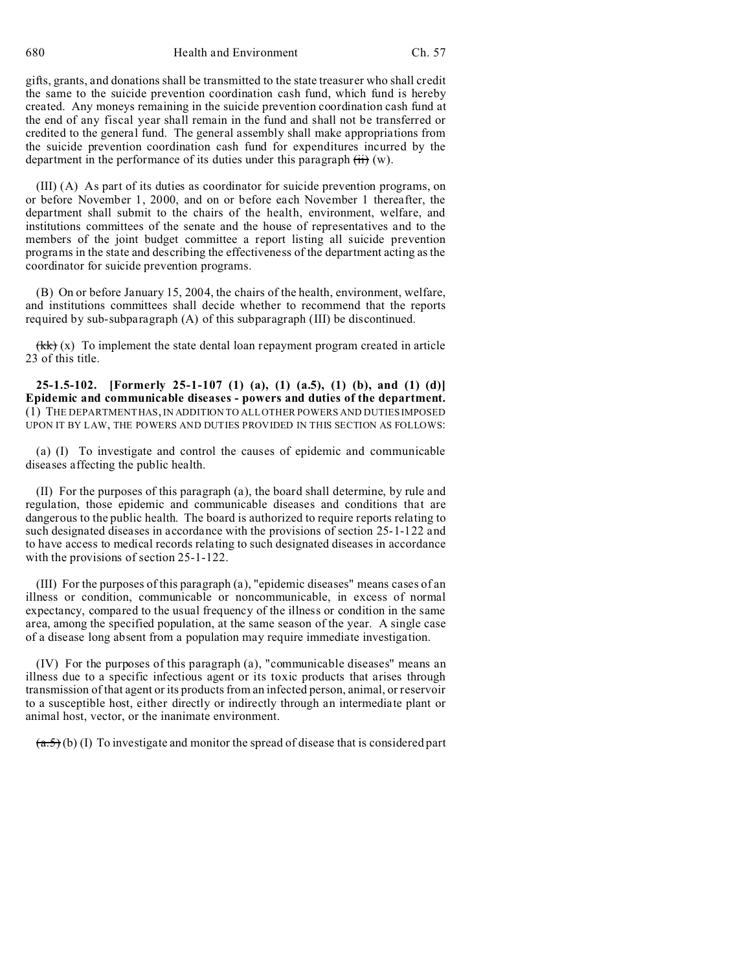gifts, grants, and donations shall be transmitted to the state treasurer who shall credit the same to the suicide prevention coordination cash fund, which fund is hereby created. Any moneys remaining in the suicide prevention coordination cash fund at the end of any fiscal year shall remain in the fund and shall not be transferred or credited to the general fund. The general assembly shall make appropriations from the suicide prevention coordination cash fund for expenditures incurred by the department in the performance of its duties under this paragraph  $(ii)$  (w).

(III) (A) As part of its duties as coordinator for suicide prevention programs, on or before November 1, 2000, and on or before each November 1 thereafter, the department shall submit to the chairs of the health, environment, welfare, and institutions committees of the senate and the house of representatives and to the members of the joint budget committee a report listing all suicide prevention programs in the state and describing the effectiveness of the department acting as the coordinator for suicide prevention programs.

(B) On or before January 15, 2004, the chairs of the health, environment, welfare, and institutions committees shall decide whether to recommend that the reports required by sub-subparagraph (A) of this subparagraph (III) be discontinued.

 $(kk)$  (x) To implement the state dental loan repayment program created in article 23 of this title.

**25-1.5-102. [Formerly 25-1-107 (1) (a), (1) (a.5), (1) (b), and (1) (d)] Epidemic and communicable diseases - powers and duties of the department.** (1) THE DEPARTMENT HAS, IN ADDITION TO ALL OTHER POWERS AND DUTIES IMPOSED UPON IT BY LAW, THE POWERS AND DUTIES PROVIDED IN THIS SECTION AS FOLLOWS:

(a) (I) To investigate and control the causes of epidemic and communicable diseases affecting the public health.

(II) For the purposes of this paragraph (a), the board shall determine, by rule and regulation, those epidemic and communicable diseases and conditions that are dangerous to the public health. The board is authorized to require reports relating to such designated diseases in accordance with the provisions of section 25-1-122 and to have access to medical records relating to such designated diseases in accordance with the provisions of section 25-1-122.

(III) For the purposes of this paragraph (a), "epidemic diseases" means cases of an illness or condition, communicable or noncommunicable, in excess of normal expectancy, compared to the usual frequency of the illness or condition in the same area, among the specified population, at the same season of the year. A single case of a disease long absent from a population may require immediate investigation.

(IV) For the purposes of this paragraph (a), "communicable diseases" means an illness due to a specific infectious agent or its toxic products that arises through transmission of that agent or its products from an infected person, animal, or reservoir to a susceptible host, either directly or indirectly through an intermediate plant or animal host, vector, or the inanimate environment.

 $(a.5)$  (b) (I) To investigate and monitor the spread of disease that is considered part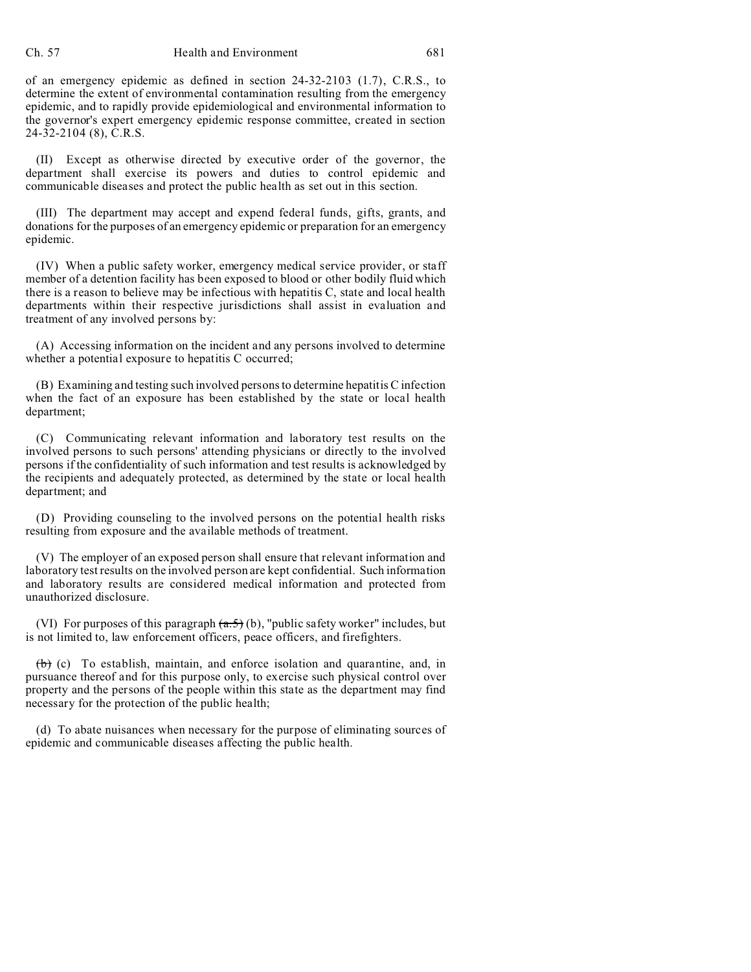of an emergency epidemic as defined in section 24-32-2103 (1.7), C.R.S., to determine the extent of environmental contamination resulting from the emergency epidemic, and to rapidly provide epidemiological and environmental information to the governor's expert emergency epidemic response committee, created in section 24-32-2104 (8), C.R.S.

(II) Except as otherwise directed by executive order of the governor, the department shall exercise its powers and duties to control epidemic and communicable diseases and protect the public health as set out in this section.

(III) The department may accept and expend federal funds, gifts, grants, and donations for the purposes of an emergency epidemic or preparation for an emergency epidemic.

(IV) When a public safety worker, emergency medical service provider, or staff member of a detention facility has been exposed to blood or other bodily fluid which there is a reason to believe may be infectious with hepatitis C, state and local health departments within their respective jurisdictions shall assist in evaluation and treatment of any involved persons by:

(A) Accessing information on the incident and any persons involved to determine whether a potential exposure to hepatitis C occurred;

(B) Examining and testing such involved persons to determine hepatitis C infection when the fact of an exposure has been established by the state or local health department;

(C) Communicating relevant information and laboratory test results on the involved persons to such persons' attending physicians or directly to the involved persons if the confidentiality of such information and test results is acknowledged by the recipients and adequately protected, as determined by the state or local health department; and

(D) Providing counseling to the involved persons on the potential health risks resulting from exposure and the available methods of treatment.

(V) The employer of an exposed person shall ensure that relevant information and laboratory test results on the involved person are kept confidential. Such information and laboratory results are considered medical information and protected from unauthorized disclosure.

(VI) For purposes of this paragraph  $(a.5)$  (b), "public safety worker" includes, but is not limited to, law enforcement officers, peace officers, and firefighters.

 $(b)$  (c) To establish, maintain, and enforce isolation and quarantine, and, in pursuance thereof and for this purpose only, to exercise such physical control over property and the persons of the people within this state as the department may find necessary for the protection of the public health;

(d) To abate nuisances when necessary for the purpose of eliminating sources of epidemic and communicable diseases affecting the public health.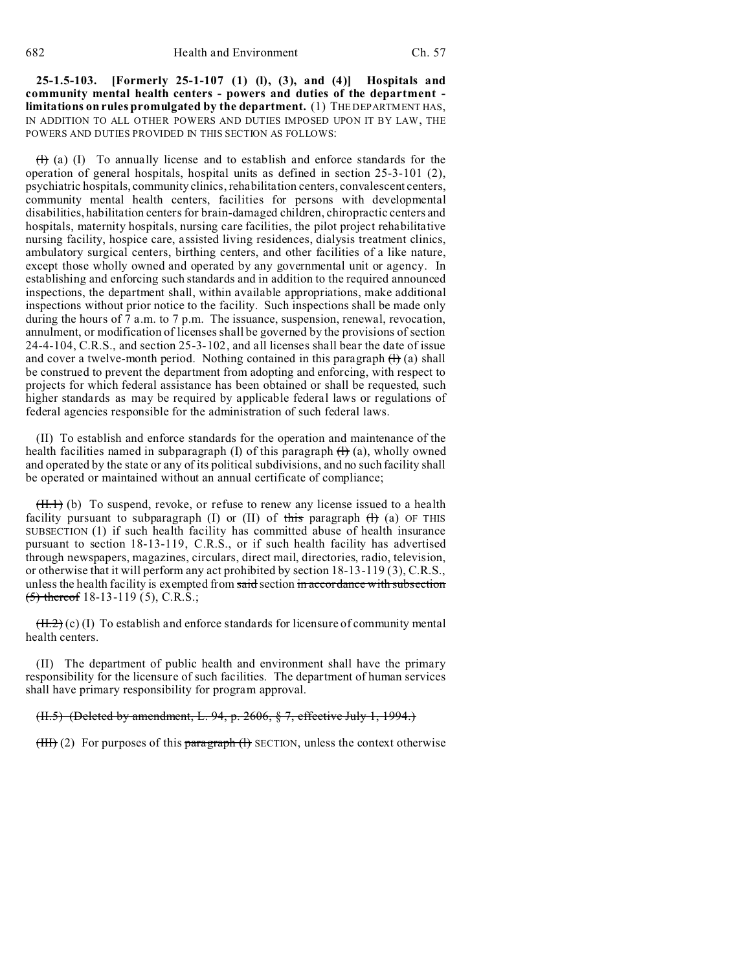**25-1.5-103. [Formerly 25-1-107 (1) (l), (3), and (4)] Hospitals and community mental health centers - powers and duties of the department limitations on rules promulgated by the department.** (1) THE DEPARTMENT HAS, IN ADDITION TO ALL OTHER POWERS AND DUTIES IMPOSED UPON IT BY LAW, THE POWERS AND DUTIES PROVIDED IN THIS SECTION AS FOLLOWS:

 $(H)$  (a) (I) To annually license and to establish and enforce standards for the operation of general hospitals, hospital units as defined in section 25-3-101 (2), psychiatric hospitals, community clinics, rehabilitation centers, convalescent centers, community mental health centers, facilities for persons with developmental disabilities, habilitation centers for brain-damaged children, chiropractic centers and hospitals, maternity hospitals, nursing care facilities, the pilot project rehabilitative nursing facility, hospice care, assisted living residences, dialysis treatment clinics, ambulatory surgical centers, birthing centers, and other facilities of a like nature, except those wholly owned and operated by any governmental unit or agency. In establishing and enforcing such standards and in addition to the required announced inspections, the department shall, within available appropriations, make additional inspections without prior notice to the facility. Such inspections shall be made only during the hours of  $\bar{7}$  a.m. to  $\bar{7}$  p.m. The issuance, suspension, renewal, revocation, annulment, or modification of licenses shall be governed by the provisions of section 24-4-104, C.R.S., and section 25-3-102, and all licenses shall bear the date of issue and cover a twelve-month period. Nothing contained in this paragraph  $\left(\frac{1}{1}\right)$  (a) shall be construed to prevent the department from adopting and enforcing, with respect to projects for which federal assistance has been obtained or shall be requested, such higher standards as may be required by applicable federal laws or regulations of federal agencies responsible for the administration of such federal laws.

(II) To establish and enforce standards for the operation and maintenance of the health facilities named in subparagraph (I) of this paragraph  $(H)$  (a), wholly owned and operated by the state or any of its political subdivisions, and no such facility shall be operated or maintained without an annual certificate of compliance;

 $(H.H)$  (b) To suspend, revoke, or refuse to renew any license issued to a health facility pursuant to subparagraph (I) or (II) of this paragraph  $(H)$  (a) OF THIS SUBSECTION (1) if such health facility has committed abuse of health insurance pursuant to section 18-13-119, C.R.S., or if such health facility has advertised through newspapers, magazines, circulars, direct mail, directories, radio, television, or otherwise that it will perform any act prohibited by section 18-13-119 (3), C.R.S., unless the health facility is exempted from said section in accordance with subsection (5) thereof 18-13-119 (5), C.R.S.;

 $(H, 2)$  (c) (I) To establish and enforce standards for licensure of community mental health centers.

(II) The department of public health and environment shall have the primary responsibility for the licensure of such facilities. The department of human services shall have primary responsibility for program approval.

(II.5) (Deleted by amendment, L. 94, p. 2606, § 7, effective July 1, 1994.)

 $(HH)$  (2) For purposes of this paragraph (1) SECTION, unless the context otherwise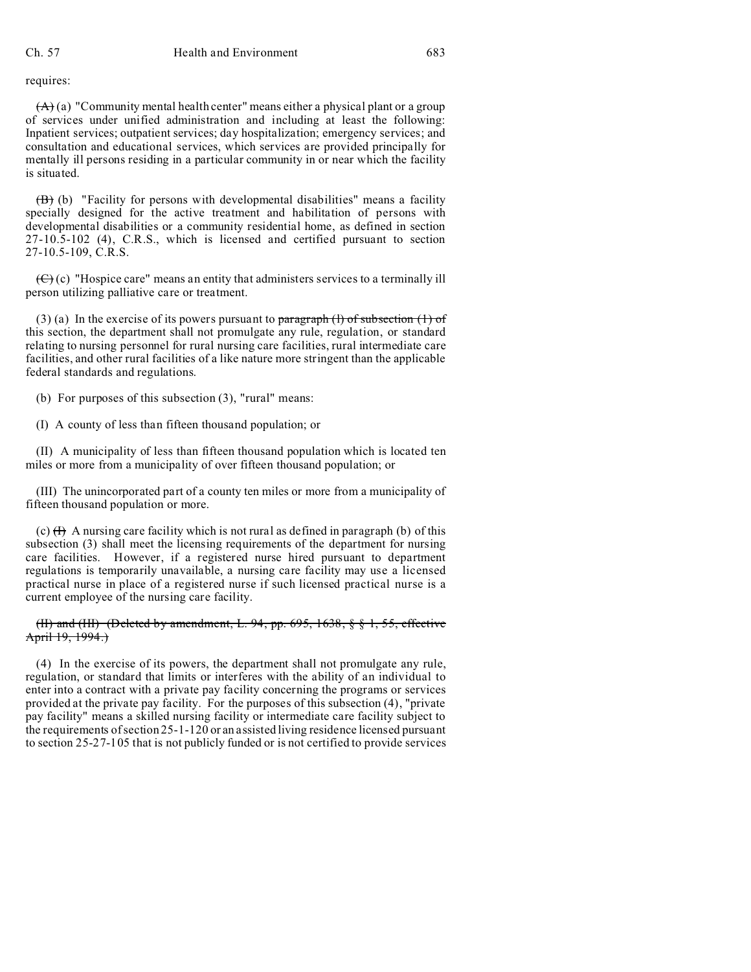requires:

 $(A)$  (a) "Community mental health center" means either a physical plant or a group of services under unified administration and including at least the following: Inpatient services; outpatient services; day hospitalization; emergency services; and consultation and educational services, which services are provided principally for mentally ill persons residing in a particular community in or near which the facility is situated.

 $(\overline{B})$  (b) "Facility for persons with developmental disabilities" means a facility specially designed for the active treatment and habilitation of persons with developmental disabilities or a community residential home, as defined in section 27-10.5-102 (4), C.R.S., which is licensed and certified pursuant to section 27-10.5-109, C.R.S.

 $(\Theta)$  (c) "Hospice care" means an entity that administers services to a terminally ill person utilizing palliative care or treatment.

(3) (a) In the exercise of its powers pursuant to  $\frac{\partial}{\partial x}$  (1) of subsection (1) of this section, the department shall not promulgate any rule, regulation, or standard relating to nursing personnel for rural nursing care facilities, rural intermediate care facilities, and other rural facilities of a like nature more stringent than the applicable federal standards and regulations.

(b) For purposes of this subsection (3), "rural" means:

(I) A county of less than fifteen thousand population; or

(II) A municipality of less than fifteen thousand population which is located ten miles or more from a municipality of over fifteen thousand population; or

(III) The unincorporated part of a county ten miles or more from a municipality of fifteen thousand population or more.

(c)  $(H)$  A nursing care facility which is not rural as defined in paragraph (b) of this subsection (3) shall meet the licensing requirements of the department for nursing care facilities. However, if a registered nurse hired pursuant to department regulations is temporarily unavailable, a nursing care facility may use a licensed practical nurse in place of a registered nurse if such licensed practical nurse is a current employee of the nursing care facility.

(II) and (III) (Deleted by amendment, L. 94, pp.  $695, 1638, \frac{6}{5}, \frac{1}{3}, 55$ , effective April 19, 1994.)

(4) In the exercise of its powers, the department shall not promulgate any rule, regulation, or standard that limits or interferes with the ability of an individual to enter into a contract with a private pay facility concerning the programs or services provided at the private pay facility. For the purposes of this subsection (4), "private pay facility" means a skilled nursing facility or intermediate care facility subject to the requirements of section 25-1-120 or an assisted living residence licensed pursuant to section 25-27-105 that is not publicly funded or is not certified to provide services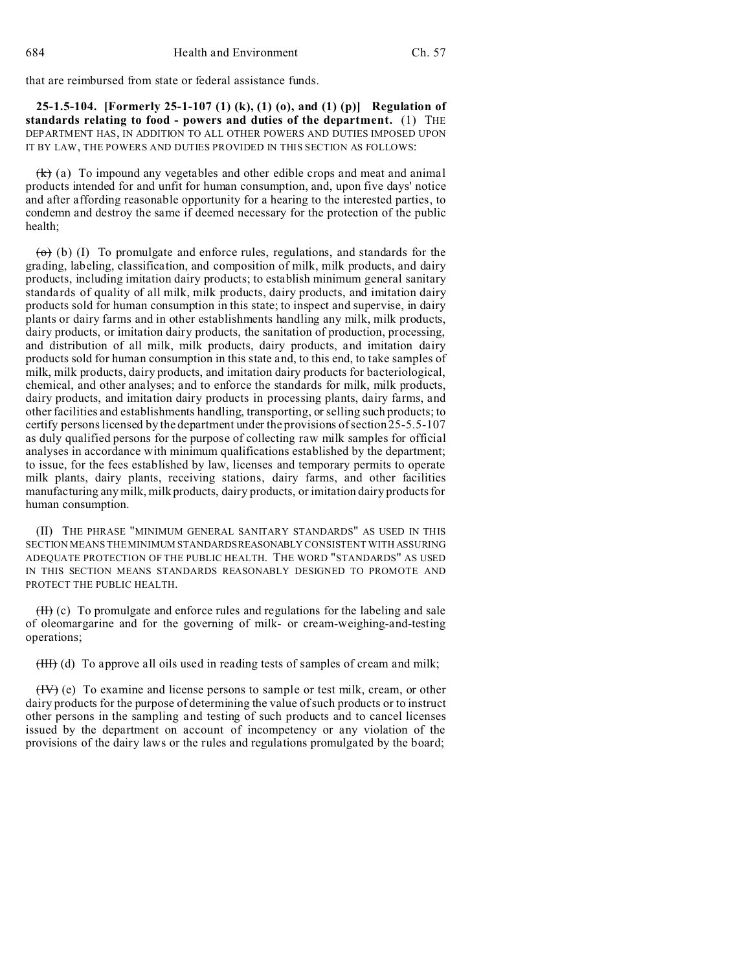that are reimbursed from state or federal assistance funds.

**25-1.5-104. [Formerly 25-1-107 (1) (k), (1) (o), and (1) (p)] Regulation of** standards relating to food - powers and duties of the department. (1) THE DEPARTMENT HAS, IN ADDITION TO ALL OTHER POWERS AND DUTIES IMPOSED UPON IT BY LAW, THE POWERS AND DUTIES PROVIDED IN THIS SECTION AS FOLLOWS:

 $(k)$  (a) To impound any vegetables and other edible crops and meat and animal products intended for and unfit for human consumption, and, upon five days' notice and after affording reasonable opportunity for a hearing to the interested parties, to condemn and destroy the same if deemed necessary for the protection of the public health;

 $\left(\bullet\right)$  (b) (I) To promulgate and enforce rules, regulations, and standards for the grading, labeling, classification, and composition of milk, milk products, and dairy products, including imitation dairy products; to establish minimum general sanitary standards of quality of all milk, milk products, dairy products, and imitation dairy products sold for human consumption in this state; to inspect and supervise, in dairy plants or dairy farms and in other establishments handling any milk, milk products, dairy products, or imitation dairy products, the sanitation of production, processing, and distribution of all milk, milk products, dairy products, and imitation dairy products sold for human consumption in this state and, to this end, to take samples of milk, milk products, dairy products, and imitation dairy products for bacteriological, chemical, and other analyses; and to enforce the standards for milk, milk products, dairy products, and imitation dairy products in processing plants, dairy farms, and other facilities and establishments handling, transporting, or selling such products; to certify persons licensed by the department under the provisions of section 25-5.5-107 as duly qualified persons for the purpose of collecting raw milk samples for official analyses in accordance with minimum qualifications established by the department; to issue, for the fees established by law, licenses and temporary permits to operate milk plants, dairy plants, receiving stations, dairy farms, and other facilities manufacturing any milk, milk products, dairy products, or imitation dairy products for human consumption.

(II) THE PHRASE "MINIMUM GENERAL SANITARY STANDARDS" AS USED IN THIS SECTION MEANS THE MINIMUM STANDARDSREASONABLY CONSISTENT WITH ASSURING ADEQUATE PROTECTION OF THE PUBLIC HEALTH. THE WORD "STANDARDS" AS USED IN THIS SECTION MEANS STANDARDS REASONABLY DESIGNED TO PROMOTE AND PROTECT THE PUBLIC HEALTH.

 $(H)$  (c) To promulgate and enforce rules and regulations for the labeling and sale of oleomargarine and for the governing of milk- or cream-weighing-and-testing operations;

 $(HH)$  (d) To approve all oils used in reading tests of samples of cream and milk;

(IV) (e) To examine and license persons to sample or test milk, cream, or other dairy products for the purpose of determining the value of such products or to instruct other persons in the sampling and testing of such products and to cancel licenses issued by the department on account of incompetency or any violation of the provisions of the dairy laws or the rules and regulations promulgated by the board;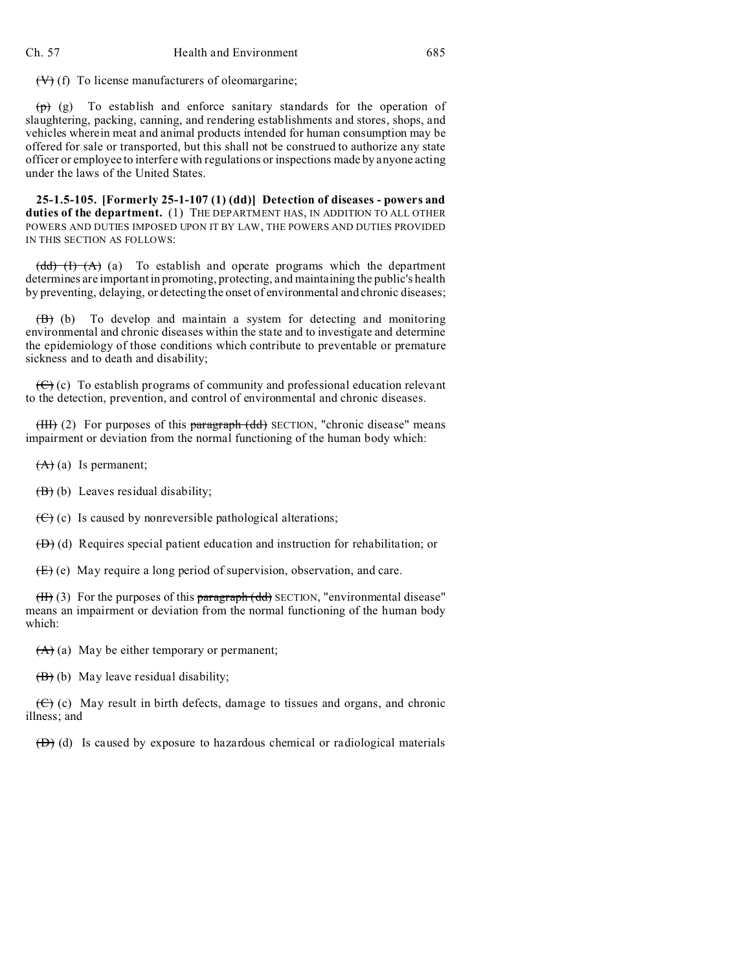$(V)$  (f) To license manufacturers of oleomargarine;

 $(p)$  (g) To establish and enforce sanitary standards for the operation of slaughtering, packing, canning, and rendering establishments and stores, shops, and vehicles wherein meat and animal products intended for human consumption may be offered for sale or transported, but this shall not be construed to authorize any state officer or employee to interfere with regulations or inspections made by anyone acting under the laws of the United States.

**25-1.5-105. [Formerly 25-1-107 (1) (dd)] Detection of diseases - powers and duties of the department.** (1) THE DEPARTMENT HAS, IN ADDITION TO ALL OTHER POWERS AND DUTIES IMPOSED UPON IT BY LAW, THE POWERS AND DUTIES PROVIDED IN THIS SECTION AS FOLLOWS:

 $\left(\frac{dd}{d}\right)$  (A) (a) To establish and operate programs which the department determines are important in promoting, protecting, and maintaining the public's health by preventing, delaying, or detecting the onset of environmental and chronic diseases;

 $(\overline{B})$  (b) To develop and maintain a system for detecting and monitoring environmental and chronic diseases within the state and to investigate and determine the epidemiology of those conditions which contribute to preventable or premature sickness and to death and disability;

 $(\overline{\mathbf{C}})$  (c) To establish programs of community and professional education relevant to the detection, prevention, and control of environmental and chronic diseases.

 $(HH)$  (2) For purposes of this paragraph (dd) SECTION, "chronic disease" means impairment or deviation from the normal functioning of the human body which:

 $(A)$  (a) Is permanent;

 $(B)$  (b) Leaves residual disability;

 $(\Theta)$  (c) Is caused by nonreversible pathological alterations;

(D) (d) Requires special patient education and instruction for rehabilitation; or

 $(E)$  (e) May require a long period of supervision, observation, and care.

 $(H)$  (3) For the purposes of this paragraph (dd) SECTION, "environmental disease" means an impairment or deviation from the normal functioning of the human body which:

 $(A)$  (a) May be either temporary or permanent;

 $(\mathbf{B})$  (b) May leave residual disability;

 $(\overline{C})$  (c) May result in birth defects, damage to tissues and organs, and chronic illness; and

 $(\overline{D})$  (d) Is caused by exposure to hazardous chemical or radiological materials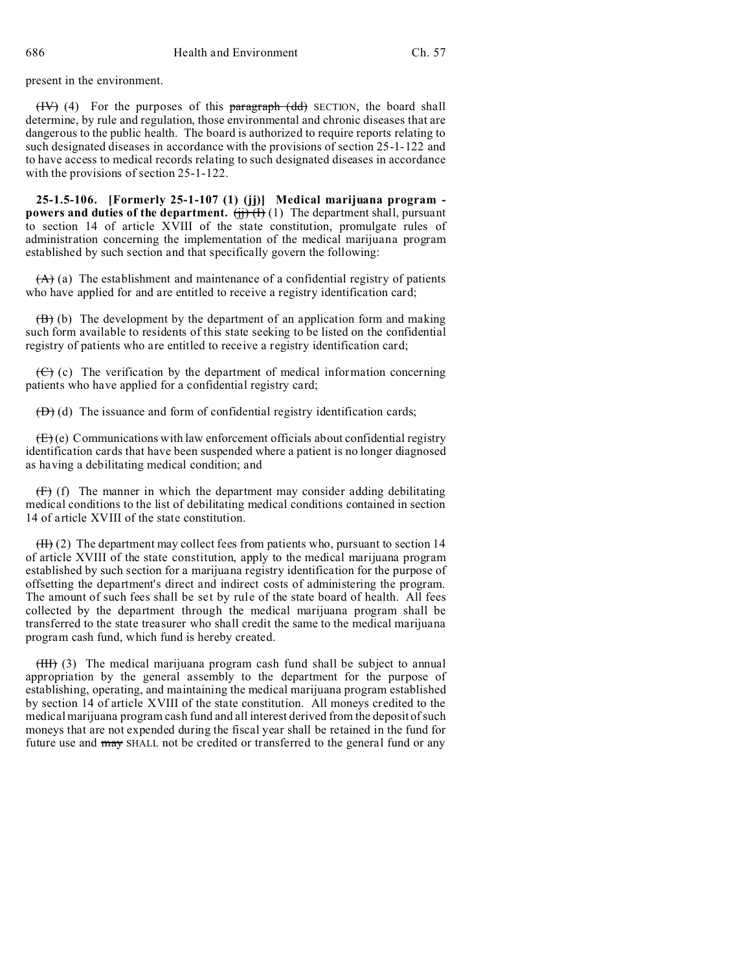present in the environment.

 $(HV)$  (4) For the purposes of this paragraph (dd) SECTION, the board shall determine, by rule and regulation, those environmental and chronic diseases that are dangerous to the public health. The board is authorized to require reports relating to such designated diseases in accordance with the provisions of section 25-1-122 and to have access to medical records relating to such designated diseases in accordance with the provisions of section 25-1-122.

**25-1.5-106. [Formerly 25-1-107 (1) (jj)] Medical marijuana program powers and duties of the department.**  $\overrightarrow{(ii)}$   $\overrightarrow{(1)}$  (1) The department shall, pursuant to section 14 of article XVIII of the state constitution, promulgate rules of administration concerning the implementation of the medical marijuana program established by such section and that specifically govern the following:

 $(A)$  (a) The establishment and maintenance of a confidential registry of patients who have applied for and are entitled to receive a registry identification card;

 $(\overline{B})(b)$  The development by the department of an application form and making such form available to residents of this state seeking to be listed on the confidential registry of patients who are entitled to receive a registry identification card;

 $(\overline{C})$  (c) The verification by the department of medical information concerning patients who have applied for a confidential registry card;

 $(D)$  (d) The issuance and form of confidential registry identification cards;

 $(E)(e)$  Communications with law enforcement officials about confidential registry identification cards that have been suspended where a patient is no longer diagnosed as having a debilitating medical condition; and

 $(F)$  (f) The manner in which the department may consider adding debilitating medical conditions to the list of debilitating medical conditions contained in section 14 of article XVIII of the state constitution.

 $(H)$  (2) The department may collect fees from patients who, pursuant to section 14 of article XVIII of the state constitution, apply to the medical marijuana program established by such section for a marijuana registry identification for the purpose of offsetting the department's direct and indirect costs of administering the program. The amount of such fees shall be set by rule of the state board of health. All fees collected by the department through the medical marijuana program shall be transferred to the state treasurer who shall credit the same to the medical marijuana program cash fund, which fund is hereby created.

(III) (3) The medical marijuana program cash fund shall be subject to annual appropriation by the general assembly to the department for the purpose of establishing, operating, and maintaining the medical marijuana program established by section 14 of article XVIII of the state constitution. All moneys credited to the medical marijuana program cash fund and all interest derived from the deposit of such moneys that are not expended during the fiscal year shall be retained in the fund for future use and may SHALL not be credited or transferred to the general fund or any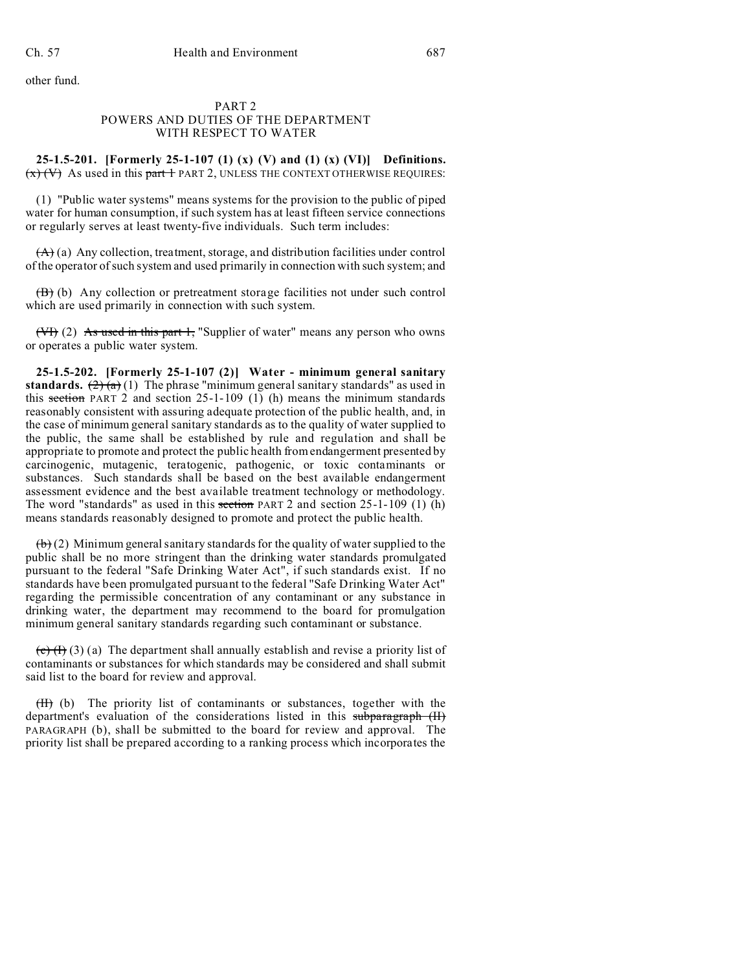other fund.

## PART 2 POWERS AND DUTIES OF THE DEPARTMENT WITH RESPECT TO WATER

## **25-1.5-201. [Formerly 25-1-107 (1) (x) (V) and (1) (x) (VI)] Definitions.**  $(x)(V)$  As used in this part 1 PART 2, UNLESS THE CONTEXT OTHERWISE REQUIRES:

(1) "Public water systems" means systems for the provision to the public of piped water for human consumption, if such system has at least fifteen service connections or regularly serves at least twenty-five individuals. Such term includes:

 $(A)$  (a) Any collection, treatment, storage, and distribution facilities under control of the operator of such system and used primarily in connection with such system; and

 $(\overline{B})$  (b) Any collection or pretreatment storage facilities not under such control which are used primarily in connection with such system.

(VI) (2) As used in this part 1, "Supplier of water" means any person who owns or operates a public water system.

**25-1.5-202. [Formerly 25-1-107 (2)] Water - minimum general sanitary standards.**  $(2)(a)(1)$  The phrase "minimum general sanitary standards" as used in this section PART 2 and section  $25-1-109$  (1) (h) means the minimum standards reasonably consistent with assuring adequate protection of the public health, and, in the case of minimum general sanitary standards as to the quality of water supplied to the public, the same shall be established by rule and regulation and shall be appropriate to promote and protect the public health from endangerment presented by carcinogenic, mutagenic, teratogenic, pathogenic, or toxic contaminants or substances. Such standards shall be based on the best available endangerment assessment evidence and the best available treatment technology or methodology. The word "standards" as used in this section PART 2 and section 25-1-109 (1) (h) means standards reasonably designed to promote and protect the public health.

 $(b)$  (2) Minimum general sanitary standards for the quality of water supplied to the public shall be no more stringent than the drinking water standards promulgated pursuant to the federal "Safe Drinking Water Act", if such standards exist. If no standards have been promulgated pursuant to the federal "Safe Drinking Water Act" regarding the permissible concentration of any contaminant or any substance in drinking water, the department may recommend to the board for promulgation minimum general sanitary standards regarding such contaminant or substance.

 $(e)$  (f) (3) (a) The department shall annually establish and revise a priority list of contaminants or substances for which standards may be considered and shall submit said list to the board for review and approval.

(II) (b) The priority list of contaminants or substances, together with the department's evaluation of the considerations listed in this subparagraph (II) PARAGRAPH (b), shall be submitted to the board for review and approval. The priority list shall be prepared according to a ranking process which incorporates the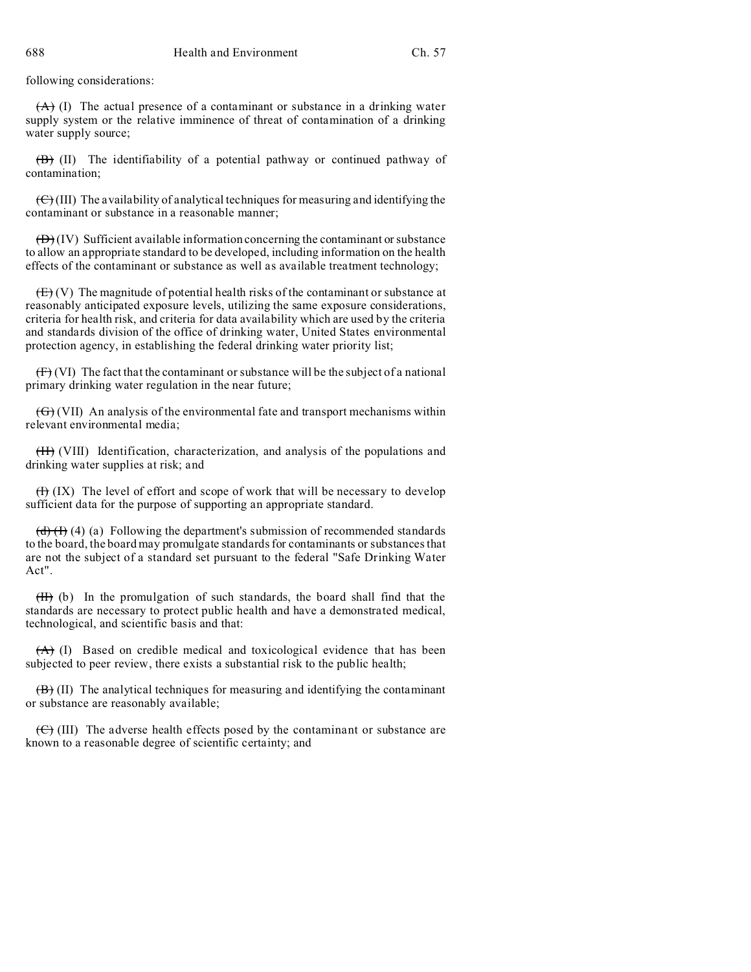following considerations:

 $(A)$  (I) The actual presence of a contaminant or substance in a drinking water supply system or the relative imminence of threat of contamination of a drinking water supply source;

 $(\overline{B})$  (II) The identifiability of a potential pathway or continued pathway of contamination;

 $(\overline{\mathbf{C}})$  (III) The availability of analytical techniques for measuring and identifying the contaminant or substance in a reasonable manner;

 $(\overrightarrow{D})$  (IV) Sufficient available information concerning the contaminant or substance to allow an appropriate standard to be developed, including information on the health effects of the contaminant or substance as well as available treatment technology;

 $(E)(V)$  The magnitude of potential health risks of the contaminant or substance at reasonably anticipated exposure levels, utilizing the same exposure considerations, criteria for health risk, and criteria for data availability which are used by the criteria and standards division of the office of drinking water, United States environmental protection agency, in establishing the federal drinking water priority list;

 $(F)$  (VI) The fact that the contaminant or substance will be the subject of a national primary drinking water regulation in the near future;

 $(\overline{G})$  (VII) An analysis of the environmental fate and transport mechanisms within relevant environmental media;

(H) (VIII) Identification, characterization, and analysis of the populations and drinking water supplies at risk; and

 $(H)$  (IX) The level of effort and scope of work that will be necessary to develop sufficient data for the purpose of supporting an appropriate standard.

 $(d)$  (4) (4) (a) Following the department's submission of recommended standards to the board, the board may promulgate standards for contaminants or substances that are not the subject of a standard set pursuant to the federal "Safe Drinking Water Act".

(II) (b) In the promulgation of such standards, the board shall find that the standards are necessary to protect public health and have a demonstrated medical, technological, and scientific basis and that:

 $(A)$  (I) Based on credible medical and toxicological evidence that has been subjected to peer review, there exists a substantial risk to the public health;

 $(\overline{B})$  (II) The analytical techniques for measuring and identifying the contaminant or substance are reasonably available;

(C) (III) The adverse health effects posed by the contaminant or substance are known to a reasonable degree of scientific certainty; and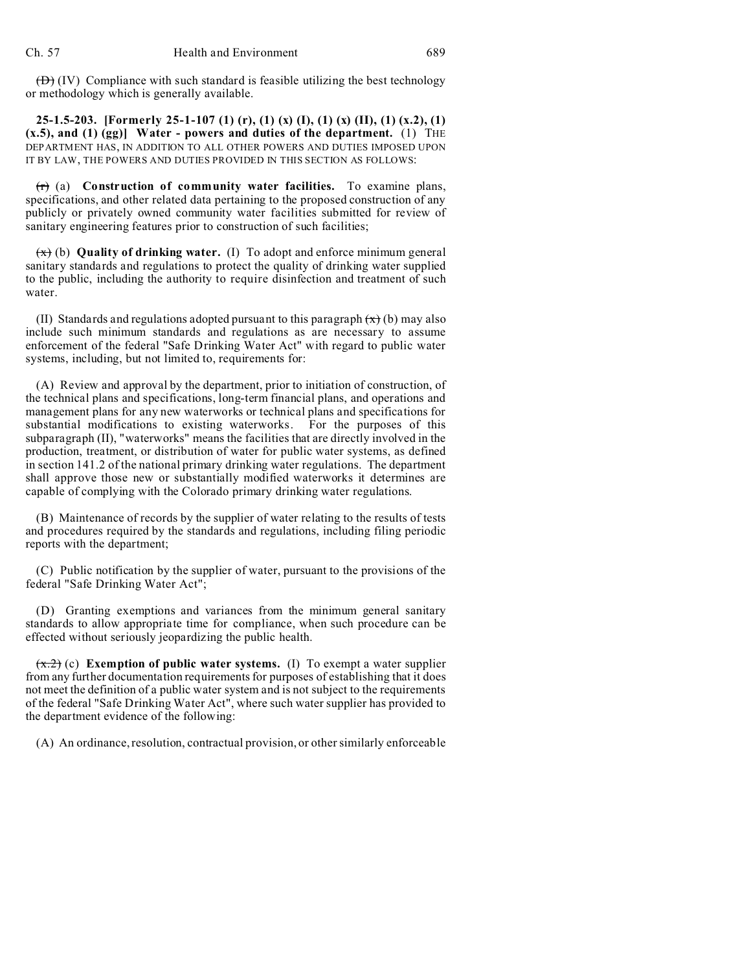$(\overrightarrow{D})$  (IV) Compliance with such standard is feasible utilizing the best technology or methodology which is generally available.

**25-1.5-203. [Formerly 25-1-107 (1) (r), (1) (x) (I), (1) (x) (II), (1) (x.2), (1) (x.5), and (1) (gg)] Water - powers and duties of the department.** (1) THE DEPARTMENT HAS, IN ADDITION TO ALL OTHER POWERS AND DUTIES IMPOSED UPON IT BY LAW, THE POWERS AND DUTIES PROVIDED IN THIS SECTION AS FOLLOWS:

(r) (a) **Construction of community water facilities.** To examine plans, specifications, and other related data pertaining to the proposed construction of any publicly or privately owned community water facilities submitted for review of sanitary engineering features prior to construction of such facilities;

 $\overline{(x)}$  (b) **Quality of drinking water.** (I) To adopt and enforce minimum general sanitary standards and regulations to protect the quality of drinking water supplied to the public, including the authority to require disinfection and treatment of such water.

(II) Standards and regulations adopted pursuant to this paragraph  $(\pm)$  (b) may also include such minimum standards and regulations as are necessary to assume enforcement of the federal "Safe Drinking Water Act" with regard to public water systems, including, but not limited to, requirements for:

(A) Review and approval by the department, prior to initiation of construction, of the technical plans and specifications, long-term financial plans, and operations and management plans for any new waterworks or technical plans and specifications for substantial modifications to existing waterworks. For the purposes of this subparagraph (II), "waterworks" means the facilities that are directly involved in the production, treatment, or distribution of water for public water systems, as defined in section 141.2 of the national primary drinking water regulations. The department shall approve those new or substantially modified waterworks it determines are capable of complying with the Colorado primary drinking water regulations.

(B) Maintenance of records by the supplier of water relating to the results of tests and procedures required by the standards and regulations, including filing periodic reports with the department;

(C) Public notification by the supplier of water, pursuant to the provisions of the federal "Safe Drinking Water Act";

(D) Granting exemptions and variances from the minimum general sanitary standards to allow appropriate time for compliance, when such procedure can be effected without seriously jeopardizing the public health.

 $\overline{(x,2)}$  (c) **Exemption of public water systems.** (I) To exempt a water supplier from any further documentation requirements for purposes of establishing that it does not meet the definition of a public water system and is not subject to the requirements of the federal "Safe Drinking Water Act", where such water supplier has provided to the department evidence of the following:

(A) An ordinance, resolution, contractual provision, or other similarly enforceable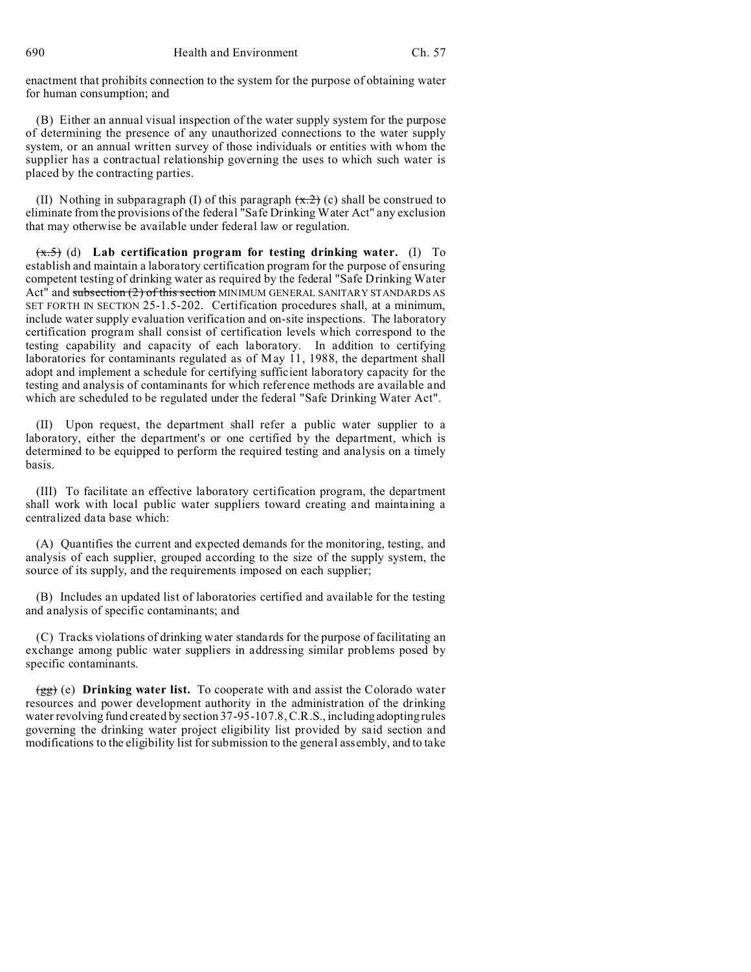enactment that prohibits connection to the system for the purpose of obtaining water for human consumption; and

(B) Either an annual visual inspection of the water supply system for the purpose of determining the presence of any unauthorized connections to the water supply system, or an annual written survey of those individuals or entities with whom the supplier has a contractual relationship governing the uses to which such water is placed by the contracting parties.

(II) Nothing in subparagraph (I) of this paragraph  $(\pm 2)$  (c) shall be construed to eliminate from the provisions of the federal "Safe Drinking Water Act" any exclusion that may otherwise be available under federal law or regulation.

(x.5) (d) **Lab certification program for testing drinking water.** (I) To establish and maintain a laboratory certification program for the purpose of ensuring competent testing of drinking water as required by the federal "Safe Drinking Water Act" and subsection (2) of this section MINIMUM GENERAL SANITARY STANDARDS AS SET FORTH IN SECTION 25-1.5-202. Certification procedures shall, at a minimum, include water supply evaluation verification and on-site inspections. The laboratory certification program shall consist of certification levels which correspond to the testing capability and capacity of each laboratory. In addition to certifying laboratories for contaminants regulated as of May 11, 1988, the department shall adopt and implement a schedule for certifying sufficient laboratory capacity for the testing and analysis of contaminants for which reference methods are available and which are scheduled to be regulated under the federal "Safe Drinking Water Act".

(II) Upon request, the department shall refer a public water supplier to a laboratory, either the department's or one certified by the department, which is determined to be equipped to perform the required testing and analysis on a timely basis.

(III) To facilitate an effective laboratory certification program, the department shall work with local public water suppliers toward creating and maintaining a centralized data base which:

(A) Quantifies the current and expected demands for the monitoring, testing, and analysis of each supplier, grouped according to the size of the supply system, the source of its supply, and the requirements imposed on each supplier;

(B) Includes an updated list of laboratories certified and available for the testing and analysis of specific contaminants; and

(C) Tracks violations of drinking water standards for the purpose of facilitating an exchange among public water suppliers in addressing similar problems posed by specific contaminants.

(gg) (e) **Drinking water list.** To cooperate with and assist the Colorado water resources and power development authority in the administration of the drinking water revolving fund created by section 37-95-107.8, C.R.S., including adopting rules governing the drinking water project eligibility list provided by said section and modifications to the eligibility list for submission to the general assembly, and to take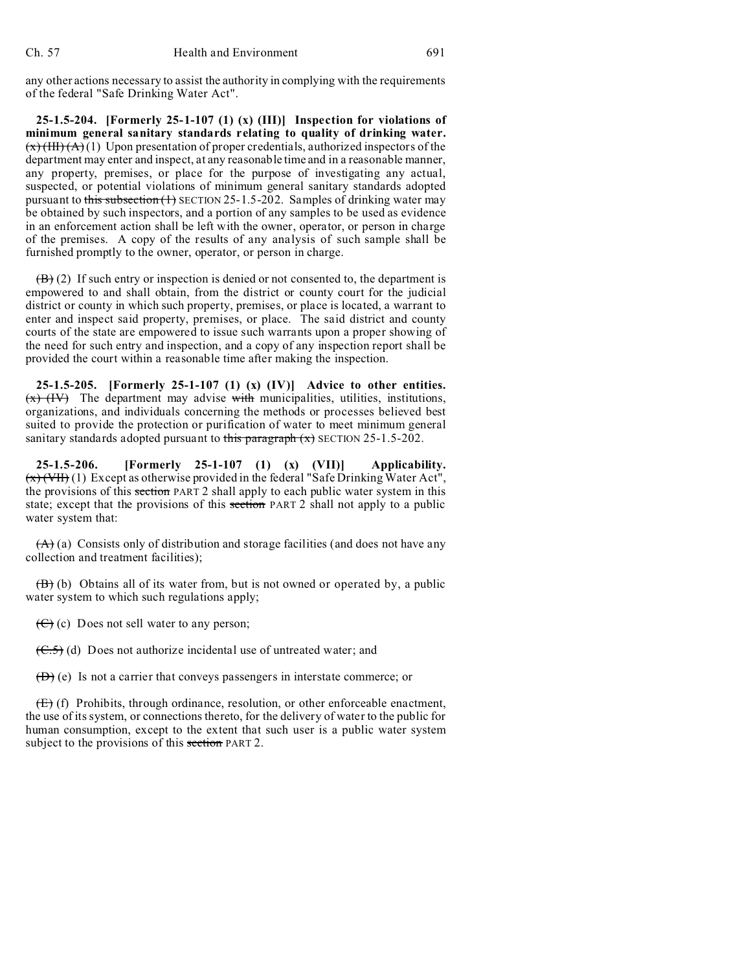any other actions necessary to assist the authority in complying with the requirements of the federal "Safe Drinking Water Act".

**25-1.5-204. [Formerly 25-1-107 (1) (x) (III)] Inspection for violations of minimum general sanitary standards relating to quality of drinking water.**  $\frac{f(x)(HH)(A)}{H}$  (1) Upon presentation of proper credentials, authorized inspectors of the department may enter and inspect, at any reasonable time and in a reasonable manner, any property, premises, or place for the purpose of investigating any actual, suspected, or potential violations of minimum general sanitary standards adopted pursuant to this subsection  $(1)$  SECTION 25-1.5-202. Samples of drinking water may be obtained by such inspectors, and a portion of any samples to be used as evidence in an enforcement action shall be left with the owner, operator, or person in charge of the premises. A copy of the results of any analysis of such sample shall be furnished promptly to the owner, operator, or person in charge.

 $(\overline{B})(2)$  If such entry or inspection is denied or not consented to, the department is empowered to and shall obtain, from the district or county court for the judicial district or county in which such property, premises, or place is located, a warrant to enter and inspect said property, premises, or place. The said district and county courts of the state are empowered to issue such warrants upon a proper showing of the need for such entry and inspection, and a copy of any inspection report shall be provided the court within a reasonable time after making the inspection.

**25-1.5-205. [Formerly 25-1-107 (1) (x) (IV)] Advice to other entities.**  $(x)$  (IV) The department may advise with municipalities, utilities, institutions, organizations, and individuals concerning the methods or processes believed best suited to provide the protection or purification of water to meet minimum general sanitary standards adopted pursuant to this paragraph  $(x)$  SECTION 25-1.5-202.

**25-1.5-206. [Formerly 25-1-107 (1) (x) (VII)] Applicability.**  $(x)$  (VII) (1) Except as otherwise provided in the federal "Safe Drinking Water Act", the provisions of this section PART 2 shall apply to each public water system in this state; except that the provisions of this section PART 2 shall not apply to a public water system that:

 $(A)$  (a) Consists only of distribution and storage facilities (and does not have any collection and treatment facilities);

 $(\overline{B})$  (b) Obtains all of its water from, but is not owned or operated by, a public water system to which such regulations apply;

 $(\Theta)$  (c) Does not sell water to any person;

 $(\overline{C.5})$  (d) Does not authorize incidental use of untreated water; and

 $(\overline{D})$  (e) Is not a carrier that conveys passengers in interstate commerce; or

(E) (f) Prohibits, through ordinance, resolution, or other enforceable enactment, the use of its system, or connections thereto, for the delivery of water to the public for human consumption, except to the extent that such user is a public water system subject to the provisions of this section PART 2.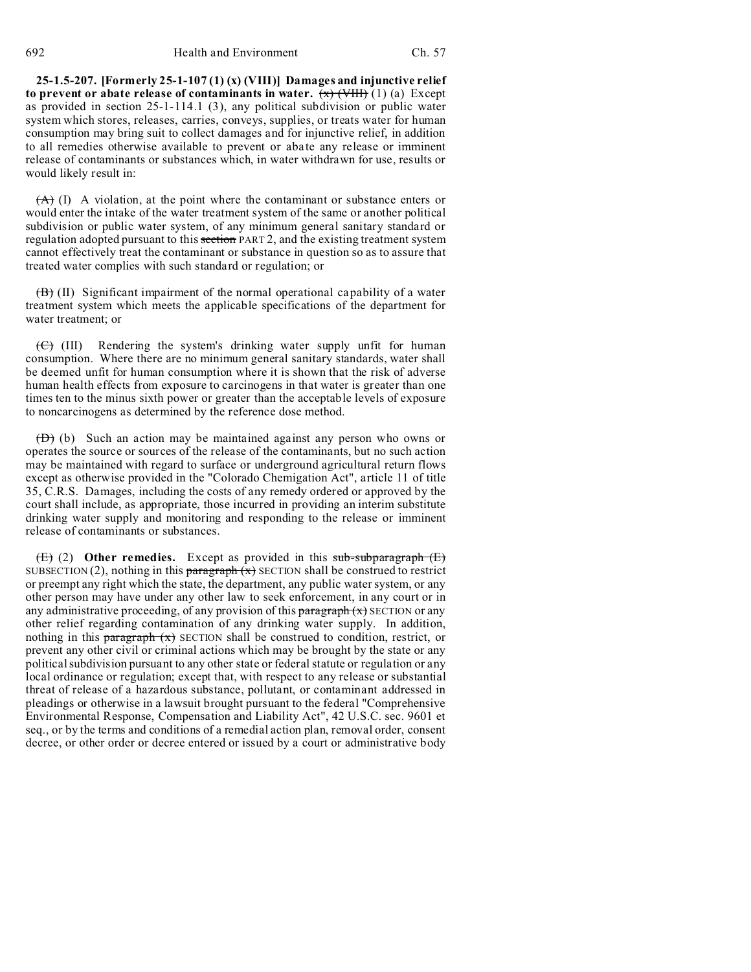**25-1.5-207. [Formerly 25-1-107 (1) (x) (VIII)] Damages and injunctive relief to prevent or abate release of contaminants in water.**  $\overline{(x)}$  (VIII) (1) (a) Except as provided in section 25-1-114.1 (3), any political subdivision or public water system which stores, releases, carries, conveys, supplies, or treats water for human consumption may bring suit to collect damages and for injunctive relief, in addition to all remedies otherwise available to prevent or abate any release or imminent release of contaminants or substances which, in water withdrawn for use, results or would likely result in:

 $(A)$  (I) A violation, at the point where the contaminant or substance enters or would enter the intake of the water treatment system of the same or another political subdivision or public water system, of any minimum general sanitary standard or regulation adopted pursuant to this section PART 2, and the existing treatment system cannot effectively treat the contaminant or substance in question so as to assure that treated water complies with such standard or regulation; or

(B) (II) Significant impairment of the normal operational capability of a water treatment system which meets the applicable specifications of the department for water treatment; or

 $(\overline{\mathbf{C}})$  (III) Rendering the system's drinking water supply unfit for human consumption. Where there are no minimum general sanitary standards, water shall be deemed unfit for human consumption where it is shown that the risk of adverse human health effects from exposure to carcinogens in that water is greater than one times ten to the minus sixth power or greater than the acceptable levels of exposure to noncarcinogens as determined by the reference dose method.

(D) (b) Such an action may be maintained against any person who owns or operates the source or sources of the release of the contaminants, but no such action may be maintained with regard to surface or underground agricultural return flows except as otherwise provided in the "Colorado Chemigation Act", article 11 of title 35, C.R.S. Damages, including the costs of any remedy ordered or approved by the court shall include, as appropriate, those incurred in providing an interim substitute drinking water supply and monitoring and responding to the release or imminent release of contaminants or substances.

(E) (2) **Other remedies.** Except as provided in this sub-subparagraph (E) SUBSECTION (2), nothing in this paragraph  $(x)$  SECTION shall be construed to restrict or preempt any right which the state, the department, any public water system, or any other person may have under any other law to seek enforcement, in any court or in any administrative proceeding, of any provision of this  $\frac{\partial}{\partial x}$  SECTION or any other relief regarding contamination of any drinking water supply. In addition, nothing in this paragraph  $(x)$  SECTION shall be construed to condition, restrict, or prevent any other civil or criminal actions which may be brought by the state or any political subdivision pursuant to any other state or federal statute or regulation or any local ordinance or regulation; except that, with respect to any release or substantial threat of release of a hazardous substance, pollutant, or contaminant addressed in pleadings or otherwise in a lawsuit brought pursuant to the federal "Comprehensive Environmental Response, Compensation and Liability Act", 42 U.S.C. sec. 9601 et seq., or by the terms and conditions of a remedial action plan, removal order, consent decree, or other order or decree entered or issued by a court or administrative body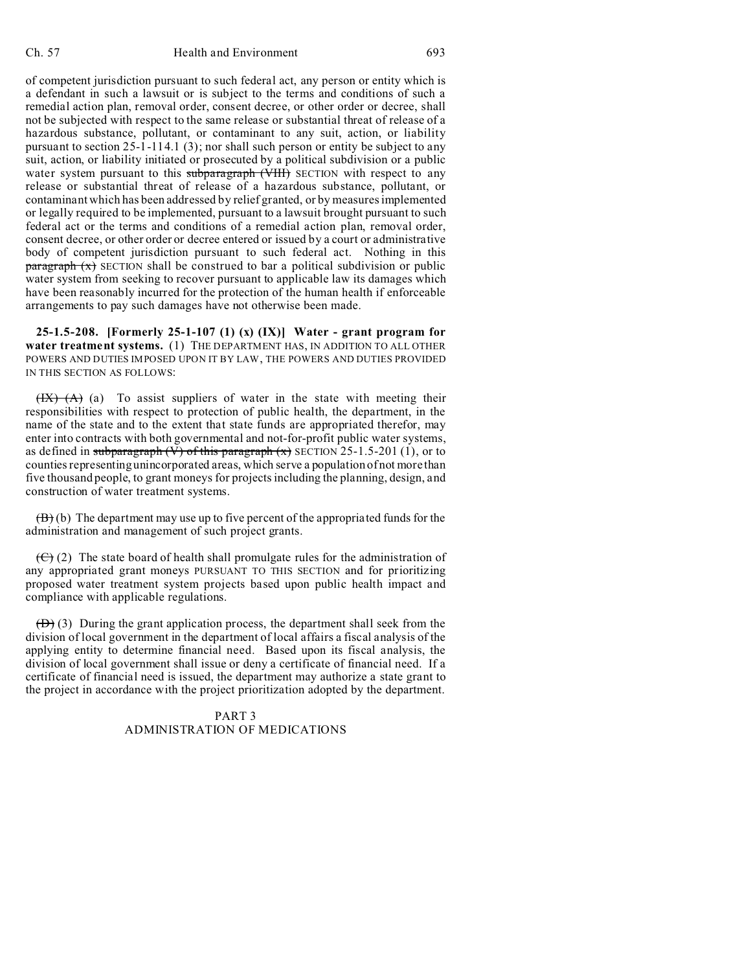of competent jurisdiction pursuant to such federal act, any person or entity which is a defendant in such a lawsuit or is subject to the terms and conditions of such a remedial action plan, removal order, consent decree, or other order or decree, shall not be subjected with respect to the same release or substantial threat of release of a hazardous substance, pollutant, or contaminant to any suit, action, or liability pursuant to section 25-1-114.1 (3); nor shall such person or entity be subject to any suit, action, or liability initiated or prosecuted by a political subdivision or a public water system pursuant to this subparagraph (VIII) SECTION with respect to any release or substantial threat of release of a hazardous substance, pollutant, or contaminant which has been addressed by relief granted, or by measures implemented or legally required to be implemented, pursuant to a lawsuit brought pursuant to such federal act or the terms and conditions of a remedial action plan, removal order, consent decree, or other order or decree entered or issued by a court or administrative body of competent jurisdiction pursuant to such federal act. Nothing in this  $\frac{\text{parameter}}{\text{mean}}$  (x) SECTION shall be construed to bar a political subdivision or public water system from seeking to recover pursuant to applicable law its damages which have been reasonably incurred for the protection of the human health if enforceable arrangements to pay such damages have not otherwise been made.

**25-1.5-208. [Formerly 25-1-107 (1) (x) (IX)] Water - grant program for water treatment systems.** (1) THE DEPARTMENT HAS, IN ADDITION TO ALL OTHER POWERS AND DUTIES IMPOSED UPON IT BY LAW, THE POWERS AND DUTIES PROVIDED IN THIS SECTION AS FOLLOWS:

 $(HX)$   $(A)$  (a) To assist suppliers of water in the state with meeting their responsibilities with respect to protection of public health, the department, in the name of the state and to the extent that state funds are appropriated therefor, may enter into contracts with both governmental and not-for-profit public water systems, as defined in subparagraph  $(\overrightarrow{V})$  of this paragraph  $(x)$  SECTION 25-1.5-201 (1), or to counties representing unincorporated areas, which serve a population of not more than five thousand people, to grant moneys for projects including the planning, design, and construction of water treatment systems.

 $(\overline{B})(b)$  The department may use up to five percent of the appropriated funds for the administration and management of such project grants.

 $(\overline{\mathbf{C}})$  (2) The state board of health shall promulgate rules for the administration of any appropriated grant moneys PURSUANT TO THIS SECTION and for prioritizing proposed water treatment system projects based upon public health impact and compliance with applicable regulations.

 $(D)$  (3) During the grant application process, the department shall seek from the division of local government in the department of local affairs a fiscal analysis of the applying entity to determine financial need. Based upon its fiscal analysis, the division of local government shall issue or deny a certificate of financial need. If a certificate of financial need is issued, the department may authorize a state grant to the project in accordance with the project prioritization adopted by the department.

# PART 3 ADMINISTRATION OF MEDICATIONS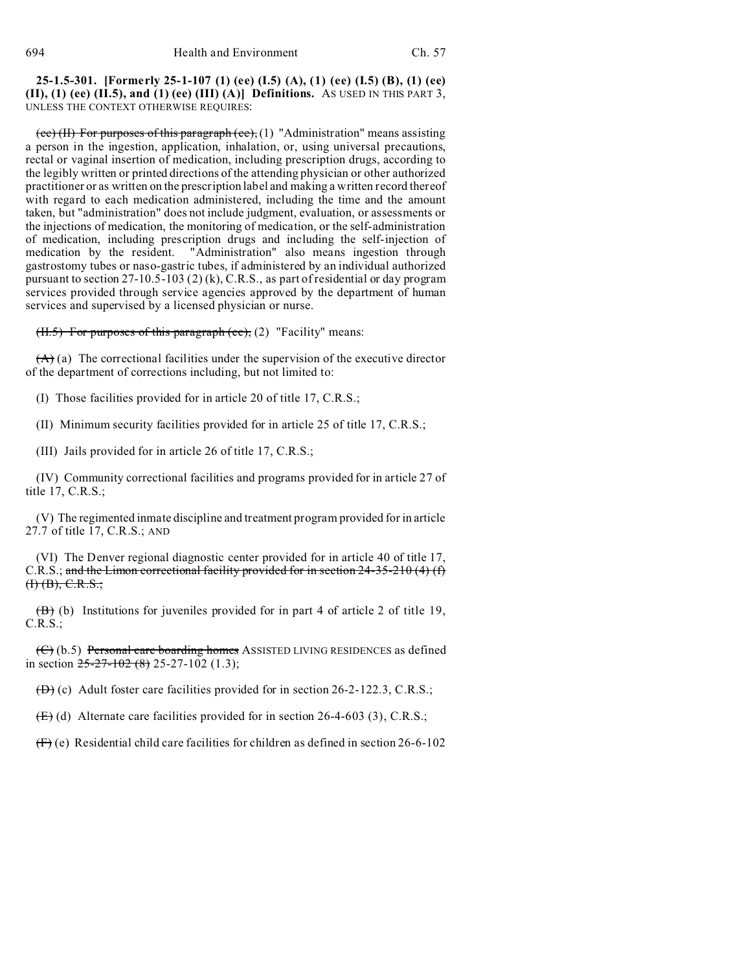**25-1.5-301. [Formerly 25-1-107 (1) (ee) (I.5) (A), (1) (ee) (I.5) (B), (1) (ee) (II), (1) (ee) (II.5), and (1) (ee) (III) (A)] Definitions.** AS USED IN THIS PART 3, UNLESS THE CONTEXT OTHERWISE REQUIRES:

(ee) (II) For purposes of this paragraph (ee), (1) "Administration" means assisting a person in the ingestion, application, inhalation, or, using universal precautions, rectal or vaginal insertion of medication, including prescription drugs, according to the legibly written or printed directions of the attending physician or other authorized practitioner or as written on the prescription label and making a written record thereof with regard to each medication administered, including the time and the amount taken, but "administration" does not include judgment, evaluation, or assessments or the injections of medication, the monitoring of medication, or the self-administration of medication, including prescription drugs and including the self-injection of medication by the resident. "Administration" also means ingestion through gastrostomy tubes or naso-gastric tubes, if administered by an individual authorized pursuant to section 27-10.5-103 (2) (k), C.R.S., as part of residential or day program services provided through service agencies approved by the department of human services and supervised by a licensed physician or nurse.

(H.5) For purposes of this paragraph (ee), (2) "Facility" means:

 $(A)$  (a) The correctional facilities under the supervision of the executive director of the department of corrections including, but not limited to:

(I) Those facilities provided for in article 20 of title 17, C.R.S.;

(II) Minimum security facilities provided for in article 25 of title 17, C.R.S.;

(III) Jails provided for in article 26 of title 17, C.R.S.;

(IV) Community correctional facilities and programs provided for in article 27 of title 17, C.R.S.;

(V) The regimented inmate discipline and treatment program provided for in article 27.7 of title 17, C.R.S.; AND

(VI) The Denver regional diagnostic center provided for in article 40 of title 17, C.R.S.; and the Limon correctional facility provided for in section 24-35-210 (4) (f)  $(H)$   $(B)$ ,  $C.R.S.$ ;

 $(\overline{B})$  (b) Institutions for juveniles provided for in part 4 of article 2 of title 19, C.R.S.;

 $(\ominus)$  (b.5) Personal care boarding homes ASSISTED LIVING RESIDENCES as defined in section  $25-27-102(8)$  25-27-102 (1.3);

 $(\overrightarrow{D})$  (c) Adult foster care facilities provided for in section 26-2-122.3, C.R.S.;

 $(E)$  (d) Alternate care facilities provided for in section 26-4-603 (3), C.R.S.;

(F) (e) Residential child care facilities for children as defined in section 26-6-102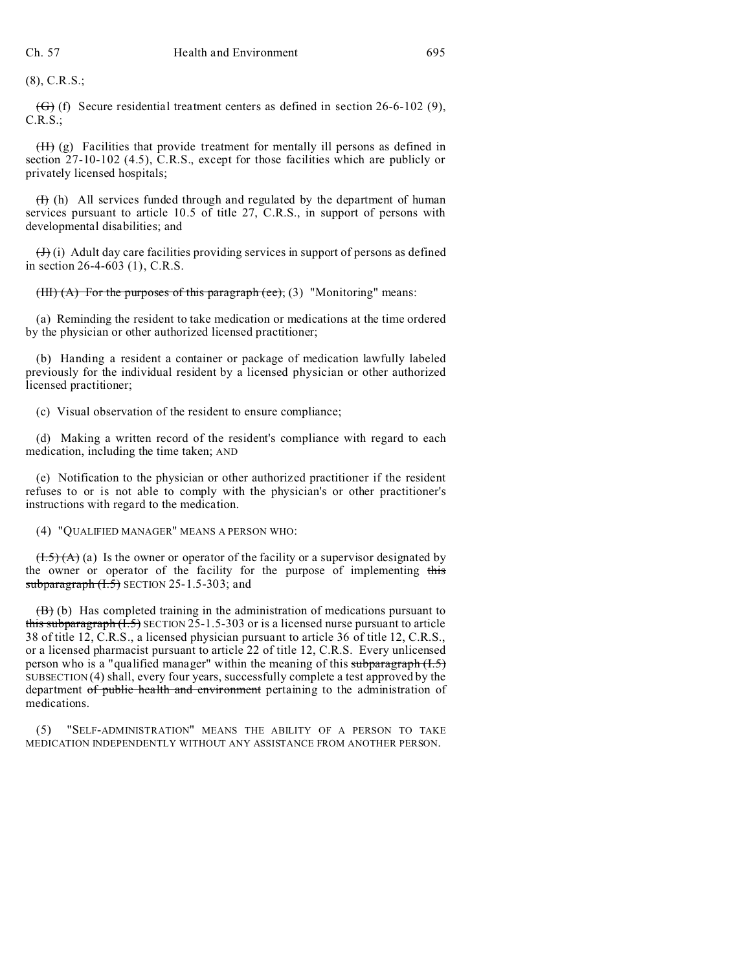(8), C.R.S.;

 $(\overrightarrow{\theta})$  (f) Secure residential treatment centers as defined in section 26-6-102 (9), C.R.S.;

(H) (g) Facilities that provide treatment for mentally ill persons as defined in section 27-10-102 (4.5), C.R.S., except for those facilities which are publicly or privately licensed hospitals;

 $(H)$  (h) All services funded through and regulated by the department of human services pursuant to article 10.5 of title 27, C.R.S., in support of persons with developmental disabilities; and

 $(\frac{1}{\sqrt{1}})$  (i) Adult day care facilities providing services in support of persons as defined in section 26-4-603 (1), C.R.S.

(III)  $(A)$  For the purposes of this paragraph (ee), (3) "Monitoring" means:

(a) Reminding the resident to take medication or medications at the time ordered by the physician or other authorized licensed practitioner;

(b) Handing a resident a container or package of medication lawfully labeled previously for the individual resident by a licensed physician or other authorized licensed practitioner;

(c) Visual observation of the resident to ensure compliance;

(d) Making a written record of the resident's compliance with regard to each medication, including the time taken; AND

(e) Notification to the physician or other authorized practitioner if the resident refuses to or is not able to comply with the physician's or other practitioner's instructions with regard to the medication.

(4) "QUALIFIED MANAGER" MEANS A PERSON WHO:

 $(1.5)$  (A) (a) Is the owner or operator of the facility or a supervisor designated by the owner or operator of the facility for the purpose of implementing this subparagraph  $(\overline{1.5})$  SECTION 25-1.5-303; and

 $(\overline{B})$  (b) Has completed training in the administration of medications pursuant to this subparagraph  $(1.5)$  SECTION 25-1.5-303 or is a licensed nurse pursuant to article 38 of title 12, C.R.S., a licensed physician pursuant to article 36 of title 12, C.R.S., or a licensed pharmacist pursuant to article 22 of title 12, C.R.S. Every unlicensed person who is a "qualified manager" within the meaning of this subparagraph  $(1.5)$ SUBSECTION (4) shall, every four years, successfully complete a test approved by the department of public health and environment pertaining to the administration of medications.

(5) "SELF-ADMINISTRATION" MEANS THE ABILITY OF A PERSON TO TAKE MEDICATION INDEPENDENTLY WITHOUT ANY ASSISTANCE FROM ANOTHER PERSON.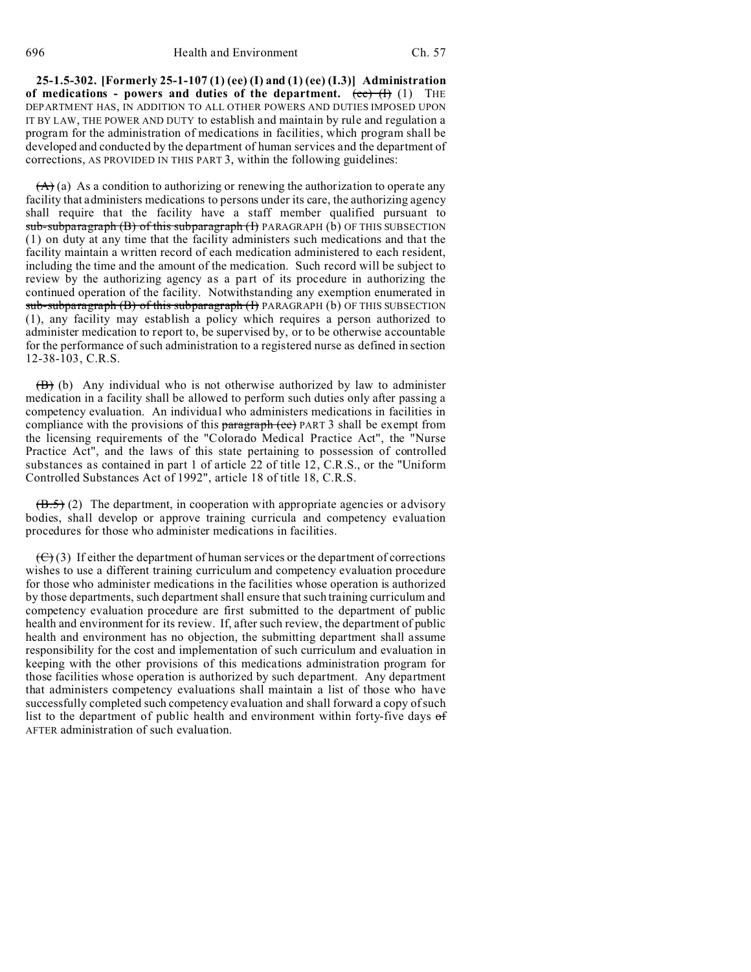**25-1.5-302. [Formerly 25-1-107 (1) (ee) (I) and (1) (ee) (I.3)] Administration** of medications - powers and duties of the department.  $\overline{(ee)}$  (I) THE DEPARTMENT HAS, IN ADDITION TO ALL OTHER POWERS AND DUTIES IMPOSED UPON IT BY LAW, THE POWER AND DUTY to establish and maintain by rule and regulation a program for the administration of medications in facilities, which program shall be developed and conducted by the department of human services and the department of corrections, AS PROVIDED IN THIS PART 3, within the following guidelines:

 $(A)$  (a) As a condition to authorizing or renewing the authorization to operate any facility that administers medications to persons under its care, the authorizing agency shall require that the facility have a staff member qualified pursuant to  $sub-subparagnah (B)$  of this subparagraph  $(H)$  PARAGRAPH  $(b)$  OF THIS SUBSECTION (1) on duty at any time that the facility administers such medications and that the facility maintain a written record of each medication administered to each resident, including the time and the amount of the medication. Such record will be subject to review by the authorizing agency as a part of its procedure in authorizing the continued operation of the facility. Notwithstanding any exemption enumerated in  $sub-subparagraph (B)$  of this subparagraph  $(H)$  PARAGRAPH  $(b)$  OF THIS SUBSECTION (1), any facility may establish a policy which requires a person authorized to administer medication to report to, be supervised by, or to be otherwise accountable for the performance of such administration to a registered nurse as defined in section 12-38-103, C.R.S.

 $(\theta)$  (b) Any individual who is not otherwise authorized by law to administer medication in a facility shall be allowed to perform such duties only after passing a competency evaluation. An individual who administers medications in facilities in compliance with the provisions of this paragraph (ee) PART 3 shall be exempt from the licensing requirements of the "Colorado Medical Practice Act", the "Nurse Practice Act", and the laws of this state pertaining to possession of controlled substances as contained in part 1 of article 22 of title 12, C.R.S., or the "Uniform Controlled Substances Act of 1992", article 18 of title 18, C.R.S.

 $(\overline{B.5})$  (2) The department, in cooperation with appropriate agencies or advisory bodies, shall develop or approve training curricula and competency evaluation procedures for those who administer medications in facilities.

 $(\mathfrak{S}(3))$  If either the department of human services or the department of corrections wishes to use a different training curriculum and competency evaluation procedure for those who administer medications in the facilities whose operation is authorized by those departments, such department shall ensure that such training curriculum and competency evaluation procedure are first submitted to the department of public health and environment for its review. If, after such review, the department of public health and environment has no objection, the submitting department shall assume responsibility for the cost and implementation of such curriculum and evaluation in keeping with the other provisions of this medications administration program for those facilities whose operation is authorized by such department. Any department that administers competency evaluations shall maintain a list of those who have successfully completed such competency evaluation and shall forward a copy of such list to the department of public health and environment within forty-five days of AFTER administration of such evaluation.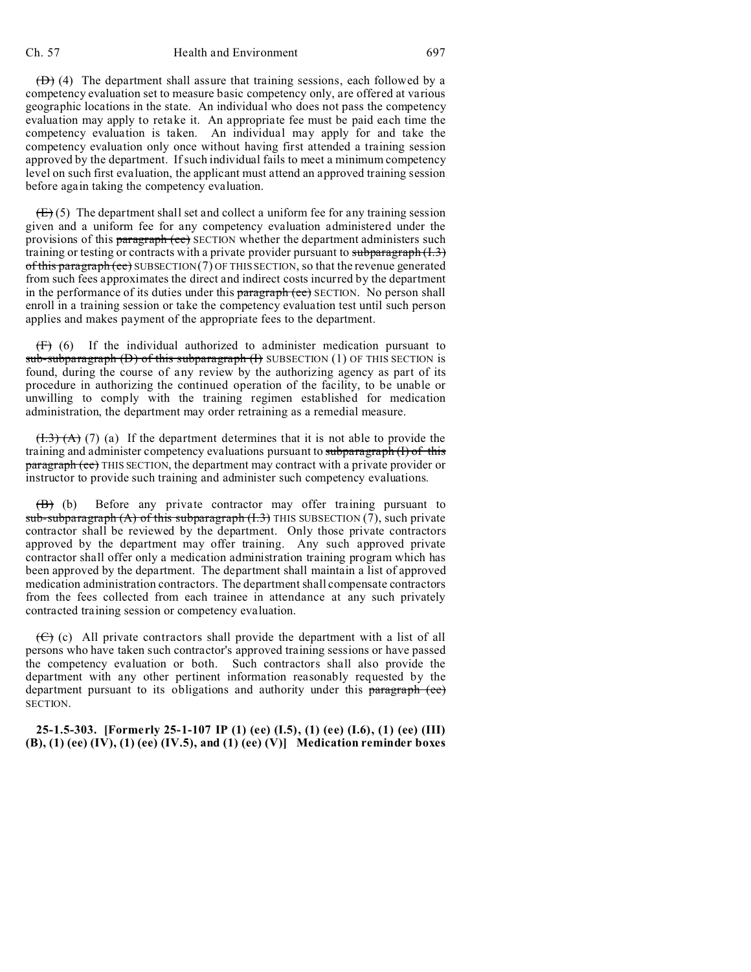$(D)$  (4) The department shall assure that training sessions, each followed by a competency evaluation set to measure basic competency only, are offered at various geographic locations in the state. An individual who does not pass the competency evaluation may apply to retake it. An appropriate fee must be paid each time the competency evaluation is taken. An individual may apply for and take the competency evaluation only once without having first attended a training session approved by the department. If such individual fails to meet a minimum competency level on such first evaluation, the applicant must attend an approved training session before again taking the competency evaluation.

 $(E)$  (5) The department shall set and collect a uniform fee for any training session given and a uniform fee for any competency evaluation administered under the provisions of this paragraph (ee) SECTION whether the department administers such training or testing or contracts with a private provider pursuant to subparagraph  $(1,3)$ of this paragraph (ee) SUBSECTION (7) OF THIS SECTION, so that the revenue generated from such fees approximates the direct and indirect costs incurred by the department in the performance of its duties under this paragraph (ee) SECTION. No person shall enroll in a training session or take the competency evaluation test until such person applies and makes payment of the appropriate fees to the department.

(F) (6) If the individual authorized to administer medication pursuant to sub-subparagraph  $(D)$  of this subparagraph  $(I)$  SUBSECTION  $(1)$  OF THIS SECTION is found, during the course of any review by the authorizing agency as part of its procedure in authorizing the continued operation of the facility, to be unable or unwilling to comply with the training regimen established for medication administration, the department may order retraining as a remedial measure.

 $(1.3)$   $(A)$   $(7)$   $(a)$  If the department determines that it is not able to provide the training and administer competency evaluations pursuant to subparagraph (I) of this paragraph (ee) THIS SECTION, the department may contract with a private provider or instructor to provide such training and administer such competency evaluations.

(B) (b) Before any private contractor may offer training pursuant to sub-subparagraph (A) of this subparagraph  $(1.3)$  THIS SUBSECTION  $(7)$ , such private contractor shall be reviewed by the department. Only those private contractors approved by the department may offer training. Any such approved private contractor shall offer only a medication administration training program which has been approved by the department. The department shall maintain a list of approved medication administration contractors. The department shall compensate contractors from the fees collected from each trainee in attendance at any such privately contracted training session or competency evaluation.

 $(\overline{C})$  (c) All private contractors shall provide the department with a list of all persons who have taken such contractor's approved training sessions or have passed the competency evaluation or both. Such contractors shall also provide the department with any other pertinent information reasonably requested by the department pursuant to its obligations and authority under this paragraph (ee) SECTION.

**25-1.5-303. [Formerly 25-1-107 IP (1) (ee) (I.5), (1) (ee) (I.6), (1) (ee) (III) (B), (1) (ee) (IV), (1) (ee) (IV.5), and (1) (ee) (V)] Medication reminder boxes**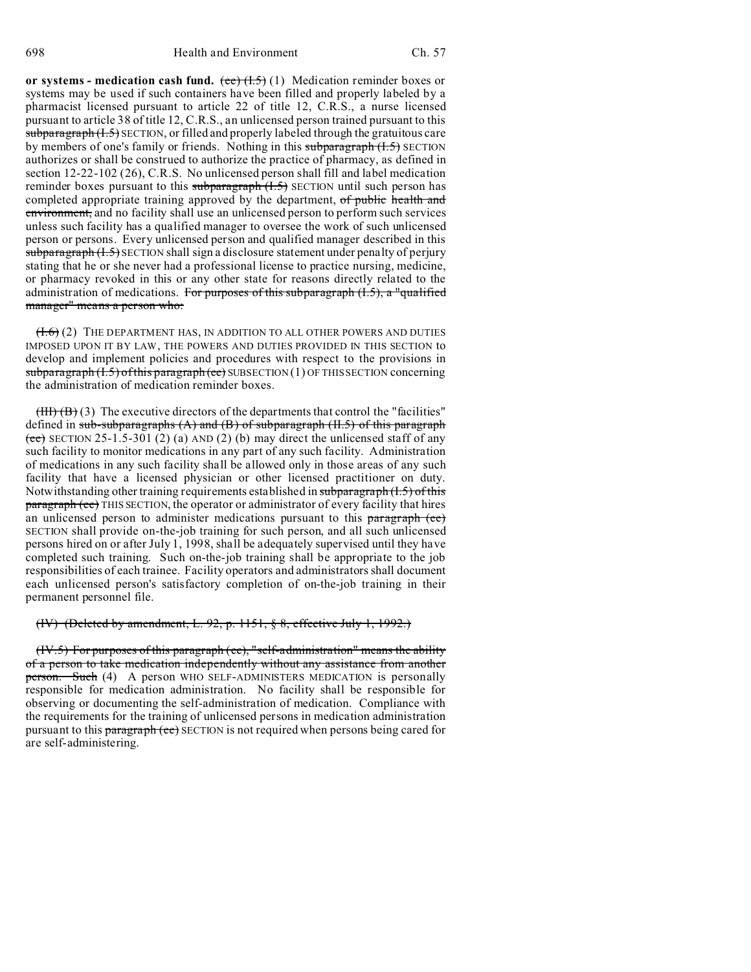**or systems - medication cash fund.**  $(\text{ee})$   $(\text{I.5})$  (1) Medication reminder boxes or systems may be used if such containers have been filled and properly labeled by a pharmacist licensed pursuant to article 22 of title 12, C.R.S., a nurse licensed pursuant to article 38 of title 12, C.R.S., an unlicensed person trained pursuant to this  $subparagnh (I.5)$  SECTION, or filled and properly labeled through the gratuitous care by members of one's family or friends. Nothing in this subparagraph (I.5) SECTION authorizes or shall be construed to authorize the practice of pharmacy, as defined in section 12-22-102 (26), C.R.S. No unlicensed person shall fill and label medication reminder boxes pursuant to this subparagraph  $(1.5)$  SECTION until such person has completed appropriate training approved by the department, of public health and environment, and no facility shall use an unlicensed person to perform such services unless such facility has a qualified manager to oversee the work of such unlicensed person or persons. Every unlicensed person and qualified manager described in this subparagraph (I.5) SECTION shall sign a disclosure statement under penalty of perjury stating that he or she never had a professional license to practice nursing, medicine, or pharmacy revoked in this or any other state for reasons directly related to the administration of medications. For purposes of this subparagraph (I.5), a "qualified manager" means a person who:

 $(1.6)$  (2) THE DEPARTMENT HAS, IN ADDITION TO ALL OTHER POWERS AND DUTIES IMPOSED UPON IT BY LAW, THE POWERS AND DUTIES PROVIDED IN THIS SECTION to develop and implement policies and procedures with respect to the provisions in  $subparagnh (I.5) of this paragraph (ee) SUBSECTION (1) OF THIS SECTION concerning$ the administration of medication reminder boxes.

 $(HH)(B)(3)$  The executive directors of the departments that control the "facilities" defined in sub-subparagraphs  $(A)$  and  $(B)$  of subparagraph  $(H.5)$  of this paragraph  $(\overline{ee})$  SECTION 25-1.5-301 (2) (a) AND (2) (b) may direct the unlicensed staff of any such facility to monitor medications in any part of any such facility. Administration of medications in any such facility shall be allowed only in those areas of any such facility that have a licensed physician or other licensed practitioner on duty. Notwithstanding other training requirements established in subparagraph (I.5) of this paragraph (ee) THIS SECTION, the operator or administrator of every facility that hires an unlicensed person to administer medications pursuant to this paragraph (ee) SECTION shall provide on-the-job training for such person, and all such unlicensed persons hired on or after July 1, 1998, shall be adequately supervised until they have completed such training. Such on-the-job training shall be appropriate to the job responsibilities of each trainee. Facility operators and administrators shall document each unlicensed person's satisfactory completion of on-the-job training in their permanent personnel file.

## (IV) (Deleted by amendment, L. 92, p. 1151, § 8, effective July 1, 1992.)

(IV.5) For purposes of this paragraph (ee), "self-administration" means the ability of a person to take medication independently without any assistance from another **person.** Such (4) A person WHO SELF-ADMINISTERS MEDICATION is personally responsible for medication administration. No facility shall be responsible for observing or documenting the self-administration of medication. Compliance with the requirements for the training of unlicensed persons in medication administration pursuant to this paragraph (ee) SECTION is not required when persons being cared for are self-administering.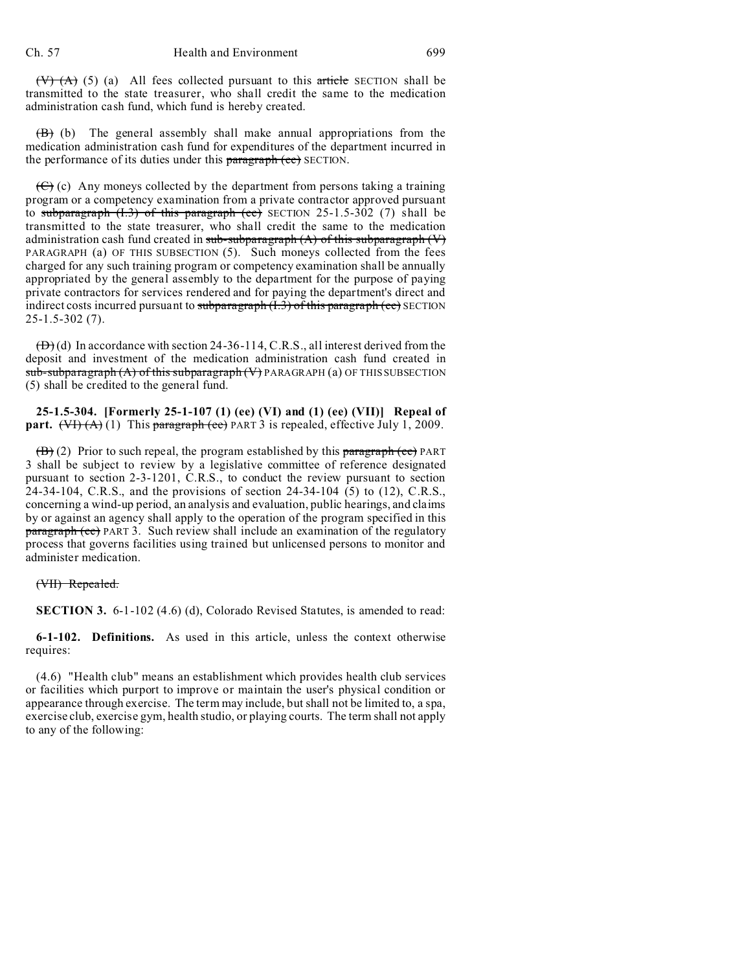$(V)$   $(A)$   $(5)$   $(a)$  All fees collected pursuant to this article SECTION shall be transmitted to the state treasurer, who shall credit the same to the medication administration cash fund, which fund is hereby created.

 $(\overline{B})$  (b) The general assembly shall make annual appropriations from the medication administration cash fund for expenditures of the department incurred in the performance of its duties under this paragraph (ee) SECTION.

 $(\overline{\mathbf{C}})$  (c) Any moneys collected by the department from persons taking a training program or a competency examination from a private contractor approved pursuant to subparagraph  $(1.3)$  of this paragraph  $(ee)$  SECTION 25-1.5-302 (7) shall be transmitted to the state treasurer, who shall credit the same to the medication administration cash fund created in sub-subparagraph  $(A)$  of this subparagraph  $(V)$ PARAGRAPH (a) OF THIS SUBSECTION (5). Such moneys collected from the fees charged for any such training program or competency examination shall be annually appropriated by the general assembly to the department for the purpose of paying private contractors for services rendered and for paying the department's direct and indirect costs incurred pursuant to subparagraph  $(1.3)$  of this paragraph (ee) SECTION 25-1.5-302 (7).

 $(D)$  (d) In accordance with section 24-36-114, C.R.S., all interest derived from the deposit and investment of the medication administration cash fund created in  $sub-subparagnath(A)$  of this subparagraph  $(V)$  PARAGRAPH (a) OF THIS SUBSECTION (5) shall be credited to the general fund.

**25-1.5-304. [Formerly 25-1-107 (1) (ee) (VI) and (1) (ee) (VII)] Repeal of part.** (VI) (A) (1) This paragraph (ee) PART 3 is repealed, effective July 1, 2009.

 $(\overline{B})(2)$  Prior to such repeal, the program established by this paragraph (ee) PART 3 shall be subject to review by a legislative committee of reference designated pursuant to section 2-3-1201, C.R.S., to conduct the review pursuant to section 24-34-104, C.R.S., and the provisions of section 24-34-104 (5) to (12), C.R.S., concerning a wind-up period, an analysis and evaluation, public hearings, and claims by or against an agency shall apply to the operation of the program specified in this paragraph (ee) PART 3. Such review shall include an examination of the regulatory process that governs facilities using trained but unlicensed persons to monitor and administer medication.

#### (VII) Repealed.

**SECTION 3.** 6-1-102 (4.6) (d), Colorado Revised Statutes, is amended to read:

**6-1-102. Definitions.** As used in this article, unless the context otherwise requires:

(4.6) "Health club" means an establishment which provides health club services or facilities which purport to improve or maintain the user's physical condition or appearance through exercise. The term may include, but shall not be limited to, a spa, exercise club, exercise gym, health studio, or playing courts. The term shall not apply to any of the following: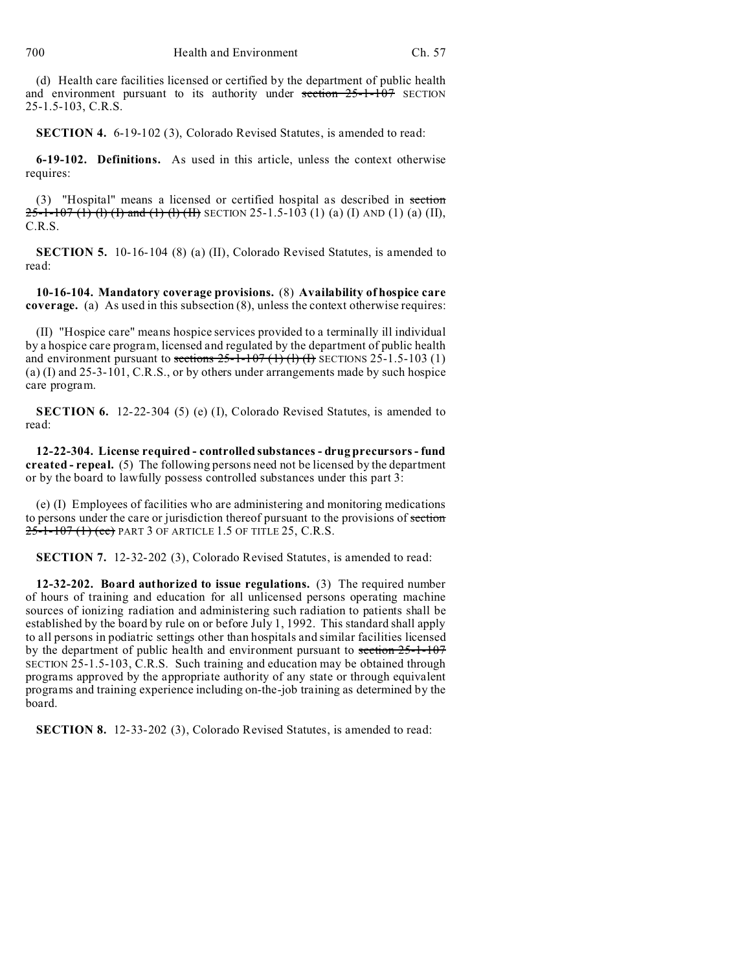(d) Health care facilities licensed or certified by the department of public health and environment pursuant to its authority under  $\frac{\text{section } 25 - 1 - 107}{\text{SECTION}}$  SECTION 25-1.5-103, C.R.S.

**SECTION 4.** 6-19-102 (3), Colorado Revised Statutes, is amended to read:

**6-19-102. Definitions.** As used in this article, unless the context otherwise requires:

(3) "Hospital" means a licensed or certified hospital as described in section  $25-1-107$  (1) (1) (1) and (1) (1) (H) SECTION 25-1.5-103 (1) (a) (I) AND (1) (a) (II), C.R.S.

**SECTION 5.** 10-16-104 (8) (a) (II), Colorado Revised Statutes, is amended to read:

**10-16-104. Mandatory coverage provisions.** (8) **Availability of hospice care coverage.** (a) As used in this subsection (8), unless the context otherwise requires:

(II) "Hospice care" means hospice services provided to a terminally ill individual by a hospice care program, licensed and regulated by the department of public health and environment pursuant to sections  $25$ -1-107 (1) (1) (1) SECTIONS 25-1.5-103 (1) (a) (I) and 25-3-101, C.R.S., or by others under arrangements made by such hospice care program.

**SECTION 6.** 12-22-304 (5) (e) (I), Colorado Revised Statutes, is amended to read:

**12-22-304. License required - controlled substances - drug precursors - fund created - repeal.** (5) The following persons need not be licensed by the department or by the board to lawfully possess controlled substances under this part 3:

(e) (I) Employees of facilities who are administering and monitoring medications to persons under the care or jurisdiction thereof pursuant to the provisions of section 25-1-107 (1) (ee) PART 3 OF ARTICLE 1.5 OF TITLE 25, C.R.S.

**SECTION 7.** 12-32-202 (3), Colorado Revised Statutes, is amended to read:

**12-32-202. Board authorized to issue regulations.** (3) The required number of hours of training and education for all unlicensed persons operating machine sources of ionizing radiation and administering such radiation to patients shall be established by the board by rule on or before July 1, 1992. This standard shall apply to all persons in podiatric settings other than hospitals and similar facilities licensed by the department of public health and environment pursuant to section 25-1-107 SECTION 25-1.5-103, C.R.S. Such training and education may be obtained through programs approved by the appropriate authority of any state or through equivalent programs and training experience including on-the-job training as determined by the board.

**SECTION 8.** 12-33-202 (3), Colorado Revised Statutes, is amended to read: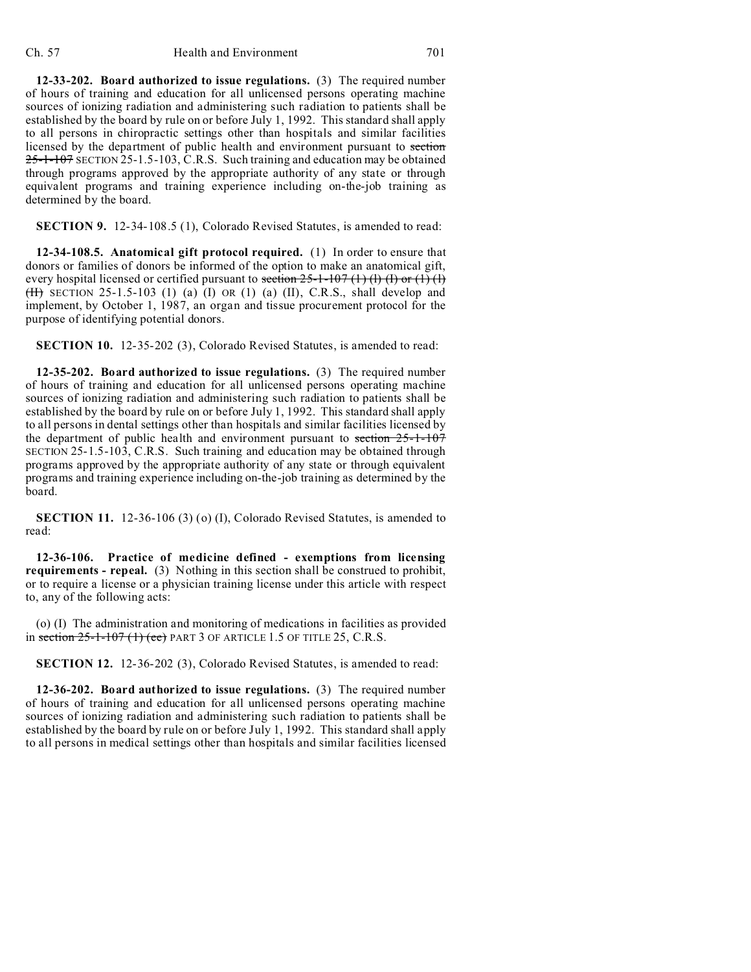**12-33-202. Board authorized to issue regulations.** (3) The required number of hours of training and education for all unlicensed persons operating machine sources of ionizing radiation and administering such radiation to patients shall be established by the board by rule on or before July 1, 1992. This standard shall apply to all persons in chiropractic settings other than hospitals and similar facilities licensed by the department of public health and environment pursuant to section 25-1-107 SECTION 25-1.5-103, C.R.S. Such training and education may be obtained through programs approved by the appropriate authority of any state or through equivalent programs and training experience including on-the-job training as determined by the board.

**SECTION 9.** 12-34-108.5 (1), Colorado Revised Statutes, is amended to read:

**12-34-108.5. Anatomical gift protocol required.** (1) In order to ensure that donors or families of donors be informed of the option to make an anatomical gift, every hospital licensed or certified pursuant to section  $25-1-107(1)$  (l)  $(1)$  or  $(1)$  (l)  $(H)$  SECTION 25-1.5-103 (1) (a) (I) OR (1) (a) (II), C.R.S., shall develop and implement, by October 1, 1987, an organ and tissue procurement protocol for the purpose of identifying potential donors.

**SECTION 10.** 12-35-202 (3), Colorado Revised Statutes, is amended to read:

**12-35-202. Board authorized to issue regulations.** (3) The required number of hours of training and education for all unlicensed persons operating machine sources of ionizing radiation and administering such radiation to patients shall be established by the board by rule on or before July 1, 1992. This standard shall apply to all persons in dental settings other than hospitals and similar facilities licensed by the department of public health and environment pursuant to section 25-1-107 SECTION 25-1.5-103, C.R.S. Such training and education may be obtained through programs approved by the appropriate authority of any state or through equivalent programs and training experience including on-the-job training as determined by the board.

**SECTION 11.** 12-36-106 (3) (o) (I), Colorado Revised Statutes, is amended to read:

**12-36-106. Practice of medicine defined - exemptions from licensing requirements - repeal.** (3) Nothing in this section shall be construed to prohibit, or to require a license or a physician training license under this article with respect to, any of the following acts:

(o) (I) The administration and monitoring of medications in facilities as provided in section  $25$ -1-107 (1) (ee) PART 3 OF ARTICLE 1.5 OF TITLE 25, C.R.S.

**SECTION 12.** 12-36-202 (3), Colorado Revised Statutes, is amended to read:

**12-36-202. Board authorized to issue regulations.** (3) The required number of hours of training and education for all unlicensed persons operating machine sources of ionizing radiation and administering such radiation to patients shall be established by the board by rule on or before July 1, 1992. This standard shall apply to all persons in medical settings other than hospitals and similar facilities licensed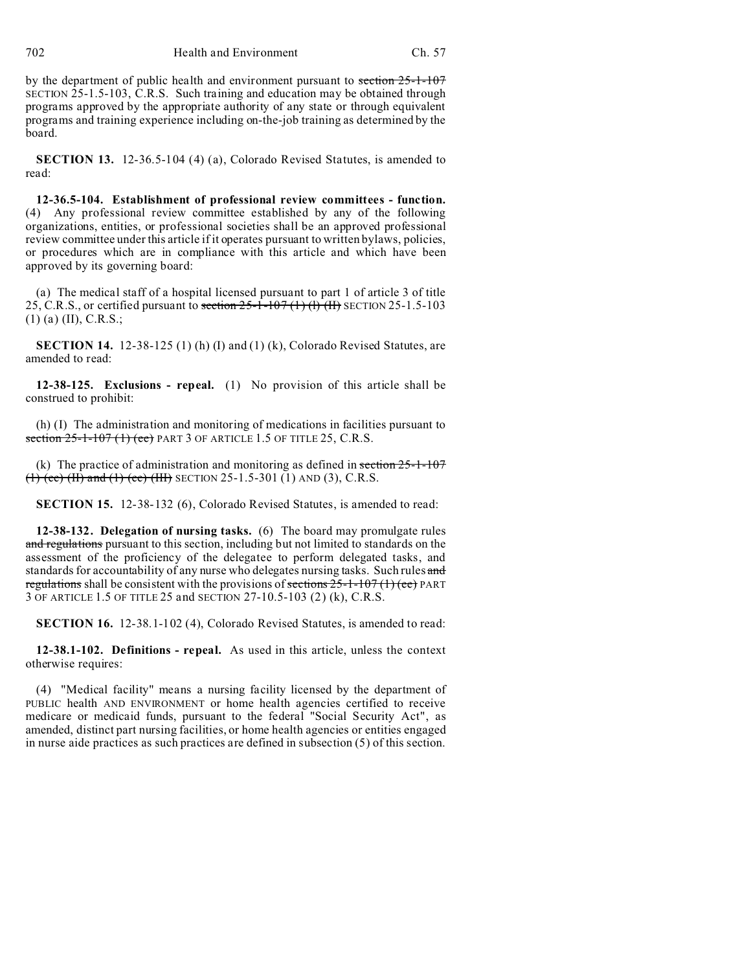by the department of public health and environment pursuant to section 25-1-107 SECTION 25-1.5-103, C.R.S. Such training and education may be obtained through programs approved by the appropriate authority of any state or through equivalent programs and training experience including on-the-job training as determined by the board.

**SECTION 13.** 12-36.5-104 (4) (a), Colorado Revised Statutes, is amended to read:

**12-36.5-104. Establishment of professional review committees - function.** (4) Any professional review committee established by any of the following organizations, entities, or professional societies shall be an approved professional review committee under this article if it operates pursuant to written bylaws, policies, or procedures which are in compliance with this article and which have been approved by its governing board:

(a) The medical staff of a hospital licensed pursuant to part 1 of article 3 of title 25, C.R.S., or certified pursuant to section  $25$ -1-107 (1) (I) (II) SECTION 25-1.5-103 (1) (a) (II), C.R.S.;

**SECTION 14.** 12-38-125 (1) (h) (I) and (1) (k), Colorado Revised Statutes, are amended to read:

**12-38-125. Exclusions - repeal.** (1) No provision of this article shall be construed to prohibit:

(h) (I) The administration and monitoring of medications in facilities pursuant to section  $25$ -1-107 (1) (ee) PART 3 OF ARTICLE 1.5 OF TITLE 25, C.R.S.

(k) The practice of administration and monitoring as defined in section  $25$ -1-107 (1) (ee) (II) and (1) (ee) (III) SECTION 25-1.5-301 (1) AND (3), C.R.S.

**SECTION 15.** 12-38-132 (6), Colorado Revised Statutes, is amended to read:

**12-38-132. Delegation of nursing tasks.** (6) The board may promulgate rules and regulations pursuant to this section, including but not limited to standards on the assessment of the proficiency of the delegatee to perform delegated tasks, and standards for accountability of any nurse who delegates nursing tasks. Such rules and regulations shall be consistent with the provisions of sections  $25-1-107(1)$  (ee) PART 3 OF ARTICLE 1.5 OF TITLE 25 and SECTION 27-10.5-103 (2) (k), C.R.S.

**SECTION 16.** 12-38.1-102 (4), Colorado Revised Statutes, is amended to read:

**12-38.1-102. Definitions - repeal.** As used in this article, unless the context otherwise requires:

(4) "Medical facility" means a nursing facility licensed by the department of PUBLIC health AND ENVIRONMENT or home health agencies certified to receive medicare or medicaid funds, pursuant to the federal "Social Security Act", as amended, distinct part nursing facilities, or home health agencies or entities engaged in nurse aide practices as such practices are defined in subsection (5) of this section.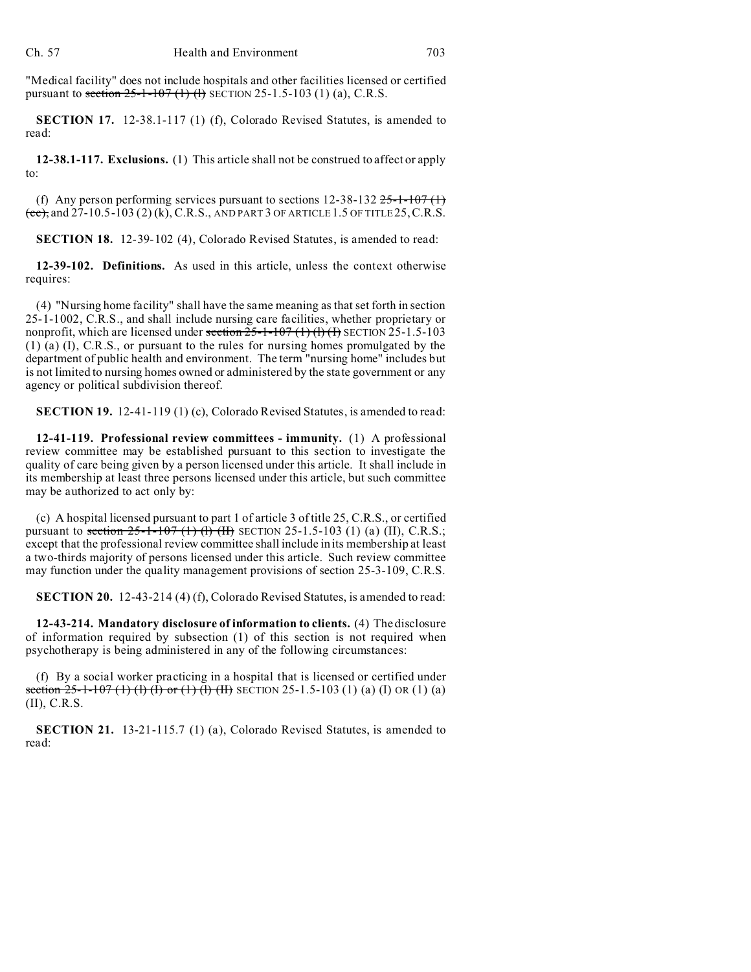"Medical facility" does not include hospitals and other facilities licensed or certified pursuant to section  $25$ -1-107 (1) (1) SECTION 25-1.5-103 (1) (a), C.R.S.

**SECTION 17.** 12-38.1-117 (1) (f), Colorado Revised Statutes, is amended to read:

**12-38.1-117. Exclusions.** (1) This article shall not be construed to affect or apply to:

(f) Any person performing services pursuant to sections  $12-38-132$   $25-1-107$  (1) (ee), and 27-10.5-103 (2) (k), C.R.S., AND PART 3 OF ARTICLE 1.5 OF TITLE 25, C.R.S.

**SECTION 18.** 12-39-102 (4), Colorado Revised Statutes, is amended to read:

**12-39-102. Definitions.** As used in this article, unless the context otherwise requires:

(4) "Nursing home facility" shall have the same meaning as that set forth in section 25-1-1002, C.R.S., and shall include nursing care facilities, whether proprietary or nonprofit, which are licensed under section  $25-1-107$  (1) (1) (1) SECTION 25-1.5-103 (1) (a) (I), C.R.S., or pursuant to the rules for nursing homes promulgated by the department of public health and environment. The term "nursing home" includes but is not limited to nursing homes owned or administered by the state government or any agency or political subdivision thereof.

**SECTION 19.** 12-41-119 (1) (c), Colorado Revised Statutes, is amended to read:

**12-41-119. Professional review committees - immunity.** (1) A professional review committee may be established pursuant to this section to investigate the quality of care being given by a person licensed under this article. It shall include in its membership at least three persons licensed under this article, but such committee may be authorized to act only by:

(c) A hospital licensed pursuant to part 1 of article 3 of title 25, C.R.S., or certified pursuant to section  $25-1-107$  (1) (I) (II) SECTION 25-1.5-103 (1) (a) (II), C.R.S.; except that the professional review committee shall include in its membership at least a two-thirds majority of persons licensed under this article. Such review committee may function under the quality management provisions of section 25-3-109, C.R.S.

**SECTION 20.** 12-43-214 (4) (f), Colorado Revised Statutes, is amended to read:

**12-43-214. Mandatory disclosure of information to clients.** (4) The disclosure of information required by subsection (1) of this section is not required when psychotherapy is being administered in any of the following circumstances:

(f) By a social worker practicing in a hospital that is licensed or certified under section  $25-1-107$  (1) (1) or (1) (1) (H) SECTION 25-1.5-103 (1) (a) (I) OR (1) (a) (II), C.R.S.

**SECTION 21.** 13-21-115.7 (1) (a), Colorado Revised Statutes, is amended to read: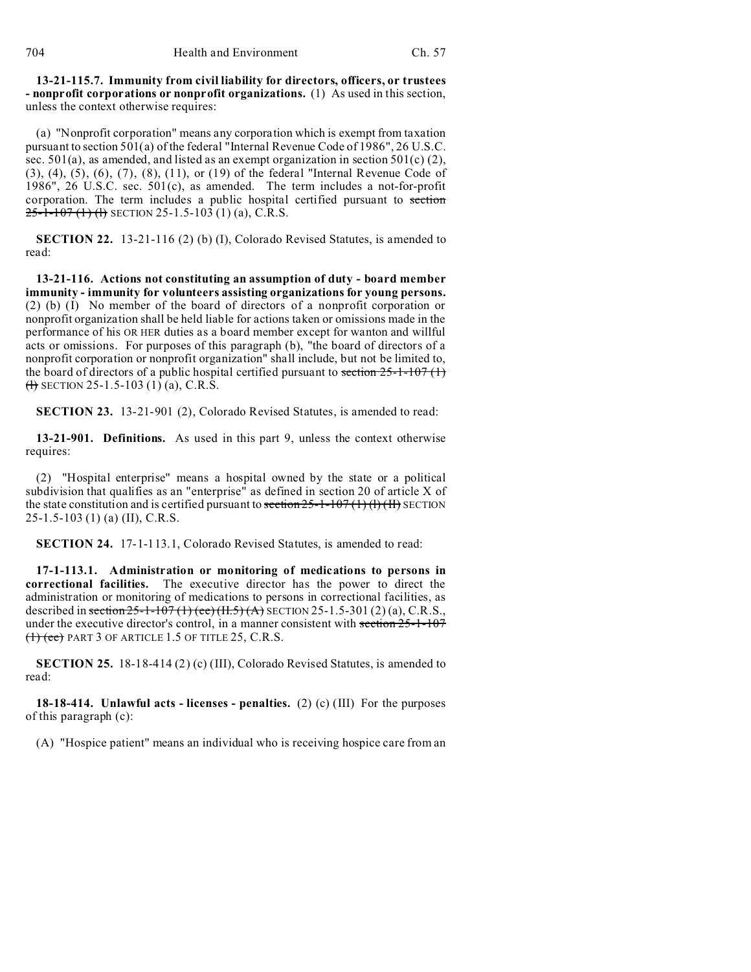**13-21-115.7. Immunity from civil liability for directors, officers, or trustees - nonprofit corporations or nonprofit organizations.** (1) As used in this section, unless the context otherwise requires:

(a) "Nonprofit corporation" means any corporation which is exempt from taxation pursuant to section 501(a) of the federal "Internal Revenue Code of 1986", 26 U.S.C. sec. 501(a), as amended, and listed as an exempt organization in section 501(c)  $(2)$ , (3), (4), (5), (6), (7), (8), (11), or (19) of the federal "Internal Revenue Code of 1986", 26 U.S.C. sec. 501(c), as amended. The term includes a not-for-profit corporation. The term includes a public hospital certified pursuant to section  $25-1-107(1)$  (h) SECTION 25-1.5-103 (1) (a), C.R.S.

**SECTION 22.** 13-21-116 (2) (b) (I), Colorado Revised Statutes, is amended to read:

**13-21-116. Actions not constituting an assumption of duty - board member immunity - immunity for volunteers assisting organizations for young persons.** (2) (b) (I) No member of the board of directors of a nonprofit corporation or nonprofit organization shall be held liable for actions taken or omissions made in the performance of his OR HER duties as a board member except for wanton and willful acts or omissions. For purposes of this paragraph (b), "the board of directors of a nonprofit corporation or nonprofit organization" shall include, but not be limited to, the board of directors of a public hospital certified pursuant to section  $25-1-107(1)$  $\left(\frac{1}{1}\right)$  SECTION 25-1.5-103 (1) (a), C.R.S.

**SECTION 23.** 13-21-901 (2), Colorado Revised Statutes, is amended to read:

**13-21-901. Definitions.** As used in this part 9, unless the context otherwise requires:

(2) "Hospital enterprise" means a hospital owned by the state or a political subdivision that qualifies as an "enterprise" as defined in section 20 of article X of the state constitution and is certified pursuant to section  $25$ -1-107(1)(1)(II) SECTION 25-1.5-103 (1) (a) (II), C.R.S.

**SECTION 24.** 17-1-113.1, Colorado Revised Statutes, is amended to read:

**17-1-113.1. Administration or monitoring of medications to persons in correctional facilities.** The executive director has the power to direct the administration or monitoring of medications to persons in correctional facilities, as described in section  $25$ -1-107 (1) (ee) (II.5) (A) SECTION 25-1.5-301 (2) (a), C.R.S., under the executive director's control, in a manner consistent with section 25-1-107  $(1)$  (ee) PART 3 OF ARTICLE 1.5 OF TITLE 25, C.R.S.

**SECTION 25.** 18-18-414 (2) (c) (III), Colorado Revised Statutes, is amended to read:

**18-18-414. Unlawful acts - licenses - penalties.** (2) (c) (III) For the purposes of this paragraph (c):

(A) "Hospice patient" means an individual who is receiving hospice care from an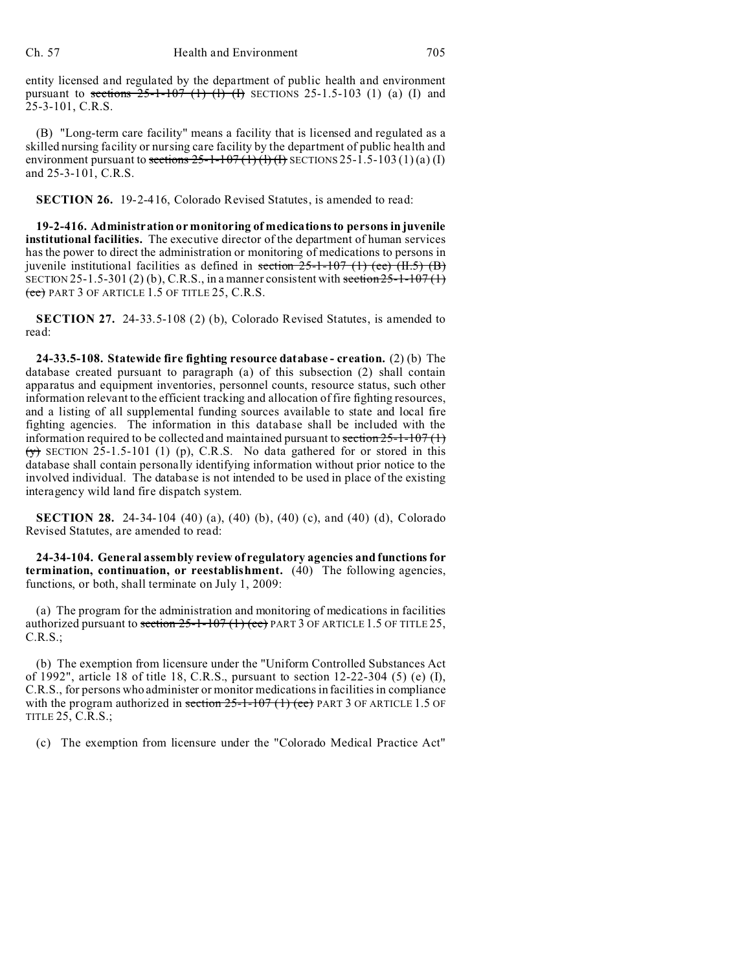entity licensed and regulated by the department of public health and environment pursuant to sections  $25-1-107$  (1) (1) SECTIONS 25-1.5-103 (1) (a) (I) and 25-3-101, C.R.S.

(B) "Long-term care facility" means a facility that is licensed and regulated as a skilled nursing facility or nursing care facility by the department of public health and environment pursuant to sections  $25$ -1-107 (1) (1) (1) SECTIONS 25-1.5-103 (1) (a) (I) and 25-3-101, C.R.S.

**SECTION 26.** 19-2-416, Colorado Revised Statutes, is amended to read:

**19-2-416. Administration or monitoring of medications to persons in juvenile institutional facilities.** The executive director of the department of human services has the power to direct the administration or monitoring of medications to persons in juvenile institutional facilities as defined in section  $25-1-107$  (1) (ee) (II.5) (B) SECTION 25-1.5-301 (2) (b), C.R.S., in a manner consistent with section  $25$ -1-107 (1)  $\text{(ee)}$  PART 3 OF ARTICLE 1.5 OF TITLE 25, C.R.S.

**SECTION 27.** 24-33.5-108 (2) (b), Colorado Revised Statutes, is amended to read:

**24-33.5-108. Statewide fire fighting resource database - creation.** (2) (b) The database created pursuant to paragraph (a) of this subsection (2) shall contain apparatus and equipment inventories, personnel counts, resource status, such other information relevant to the efficient tracking and allocation of fire fighting resources, and a listing of all supplemental funding sources available to state and local fire fighting agencies. The information in this database shall be included with the information required to be collected and maintained pursuant to section  $25$ -1-107(1)  $(y)$  SECTION 25-1.5-101 (1) (p), C.R.S. No data gathered for or stored in this database shall contain personally identifying information without prior notice to the involved individual. The database is not intended to be used in place of the existing interagency wild land fire dispatch system.

**SECTION 28.** 24-34-104 (40) (a), (40) (b), (40) (c), and (40) (d), Colorado Revised Statutes, are amended to read:

**24-34-104. General assembly review of regulatory agencies and functions for termination, continuation, or reestablishment.** (40) The following agencies, functions, or both, shall terminate on July 1, 2009:

(a) The program for the administration and monitoring of medications in facilities authorized pursuant to section  $25$ -1-107 (1) (ee) PART 3 OF ARTICLE 1.5 OF TITLE 25,  $C.R.S.:$ 

(b) The exemption from licensure under the "Uniform Controlled Substances Act of 1992", article 18 of title 18, C.R.S., pursuant to section 12-22-304 (5) (e) (I), C.R.S., for persons who administer or monitor medications in facilities in compliance with the program authorized in section  $25$ -1-107 (1) (ee) PART 3 OF ARTICLE 1.5 OF TITLE 25, C.R.S.;

(c) The exemption from licensure under the "Colorado Medical Practice Act"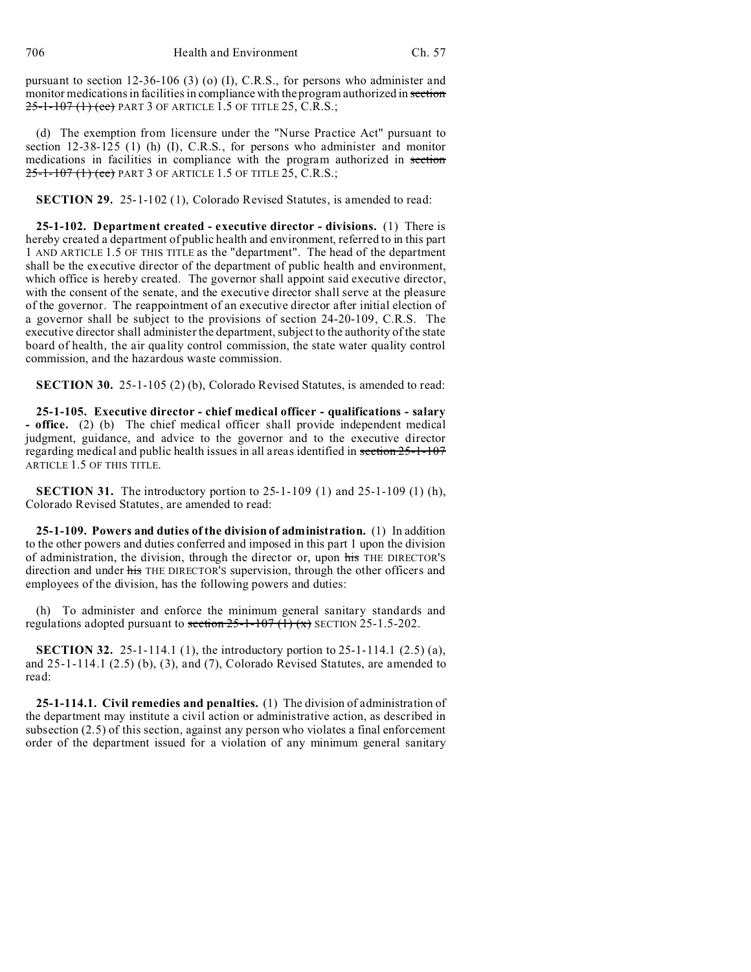pursuant to section 12-36-106 (3) (o) (I), C.R.S., for persons who administer and monitor medications in facilities in compliance with the program authorized in section 25-1-107 (1) (ee) PART 3 OF ARTICLE 1.5 OF TITLE 25, C.R.S.;

(d) The exemption from licensure under the "Nurse Practice Act" pursuant to section 12-38-125 (1) (h) (I), C.R.S., for persons who administer and monitor medications in facilities in compliance with the program authorized in section 25-1-107 (1) (ee) PART 3 OF ARTICLE 1.5 OF TITLE 25, C.R.S.;

**SECTION 29.** 25-1-102 (1), Colorado Revised Statutes, is amended to read:

**25-1-102. Department created - executive director - divisions.** (1) There is hereby created a department of public health and environment, referred to in this part 1 AND ARTICLE 1.5 OF THIS TITLE as the "department". The head of the department shall be the executive director of the department of public health and environment, which office is hereby created. The governor shall appoint said executive director, with the consent of the senate, and the executive director shall serve at the pleasure of the governor. The reappointment of an executive director after initial election of a governor shall be subject to the provisions of section 24-20-109, C.R.S. The executive director shall administer the department, subject to the authority of the state board of health, the air quality control commission, the state water quality control commission, and the hazardous waste commission.

**SECTION 30.** 25-1-105 (2) (b), Colorado Revised Statutes, is amended to read:

**25-1-105. Executive director - chief medical officer - qualifications - salary - office.** (2) (b) The chief medical officer shall provide independent medical judgment, guidance, and advice to the governor and to the executive director regarding medical and public health issues in all areas identified in section 25-1-107 ARTICLE 1.5 OF THIS TITLE.

**SECTION 31.** The introductory portion to 25-1-109 (1) and 25-1-109 (1) (h), Colorado Revised Statutes, are amended to read:

**25-1-109. Powers and duties of the division of administration.** (1) In addition to the other powers and duties conferred and imposed in this part 1 upon the division of administration, the division, through the director or, upon his THE DIRECTOR'S direction and under his THE DIRECTOR'S supervision, through the other officers and employees of the division, has the following powers and duties:

(h) To administer and enforce the minimum general sanitary standards and regulations adopted pursuant to section  $25-1-107$   $\overline{(1)}$   $\overline{(x)}$  SECTION 25-1.5-202.

**SECTION 32.** 25-1-114.1 (1), the introductory portion to 25-1-114.1 (2.5) (a), and 25-1-114.1 (2.5) (b), (3), and (7), Colorado Revised Statutes, are amended to read:

**25-1-114.1. Civil remedies and penalties.** (1) The division of administration of the department may institute a civil action or administrative action, as described in subsection (2.5) of this section, against any person who violates a final enforcement order of the department issued for a violation of any minimum general sanitary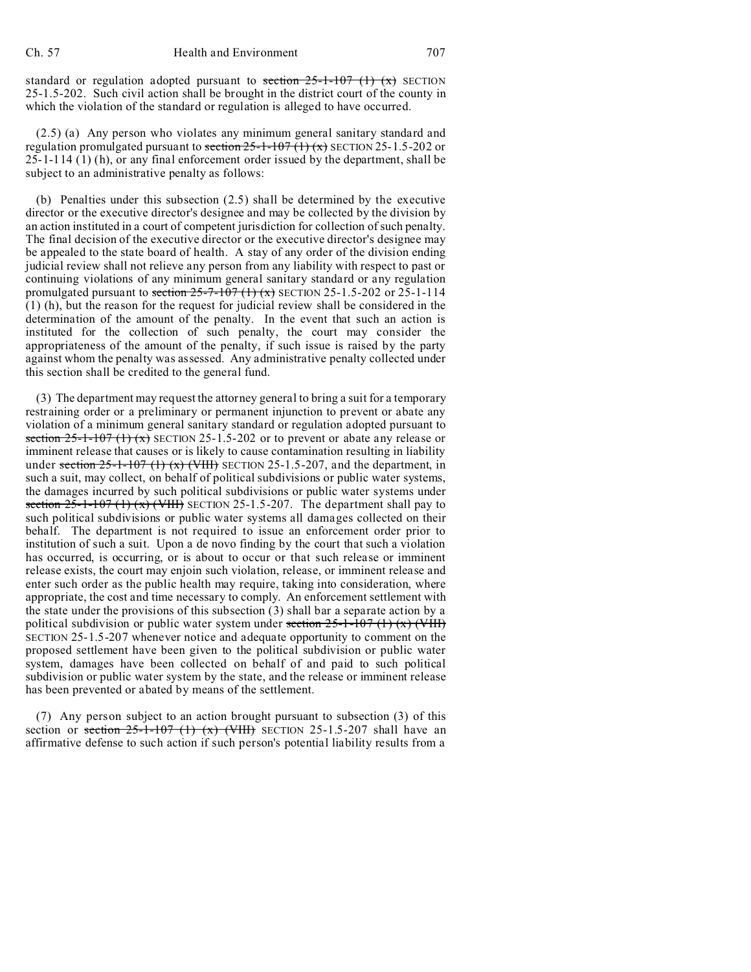standard or regulation adopted pursuant to section  $25-1-107$  (1)  $(x)$  SECTION 25-1.5-202. Such civil action shall be brought in the district court of the county in which the violation of the standard or regulation is alleged to have occurred.

(2.5) (a) Any person who violates any minimum general sanitary standard and regulation promulgated pursuant to section  $25-1-107(1)(x)$  SECTION 25-1.5-202 or 25-1-114 (1) (h), or any final enforcement order issued by the department, shall be subject to an administrative penalty as follows:

(b) Penalties under this subsection (2.5) shall be determined by the executive director or the executive director's designee and may be collected by the division by an action instituted in a court of competent jurisdiction for collection of such penalty. The final decision of the executive director or the executive director's designee may be appealed to the state board of health. A stay of any order of the division ending judicial review shall not relieve any person from any liability with respect to past or continuing violations of any minimum general sanitary standard or any regulation promulgated pursuant to section  $25-7-107$  (1) (x) SECTION 25-1.5-202 or 25-1-114 (1) (h), but the reason for the request for judicial review shall be considered in the determination of the amount of the penalty. In the event that such an action is instituted for the collection of such penalty, the court may consider the appropriateness of the amount of the penalty, if such issue is raised by the party against whom the penalty was assessed. Any administrative penalty collected under this section shall be credited to the general fund.

(3) The department may request the attorney general to bring a suit for a temporary restraining order or a preliminary or permanent injunction to prevent or abate any violation of a minimum general sanitary standard or regulation adopted pursuant to section  $25-1-107$  (1) (x) SECTION 25-1.5-202 or to prevent or abate any release or imminent release that causes or is likely to cause contamination resulting in liability under section  $25$ -1-107 (1) (x) (VIII) SECTION 25-1.5-207, and the department, in such a suit, may collect, on behalf of political subdivisions or public water systems, the damages incurred by such political subdivisions or public water systems under section  $25-1-107$  (1) (x) (VHI) SECTION 25-1.5-207. The department shall pay to such political subdivisions or public water systems all damages collected on their behalf. The department is not required to issue an enforcement order prior to institution of such a suit. Upon a de novo finding by the court that such a violation has occurred, is occurring, or is about to occur or that such release or imminent release exists, the court may enjoin such violation, release, or imminent release and enter such order as the public health may require, taking into consideration, where appropriate, the cost and time necessary to comply. An enforcement settlement with the state under the provisions of this subsection (3) shall bar a separate action by a political subdivision or public water system under section  $25-1-107$  (1) (x) (VIII) SECTION 25-1.5-207 whenever notice and adequate opportunity to comment on the proposed settlement have been given to the political subdivision or public water system, damages have been collected on behalf of and paid to such political subdivision or public water system by the state, and the release or imminent release has been prevented or abated by means of the settlement.

(7) Any person subject to an action brought pursuant to subsection (3) of this section or section  $25-1-107$  (1) (x) (VHI) SECTION 25-1.5-207 shall have an affirmative defense to such action if such person's potential liability results from a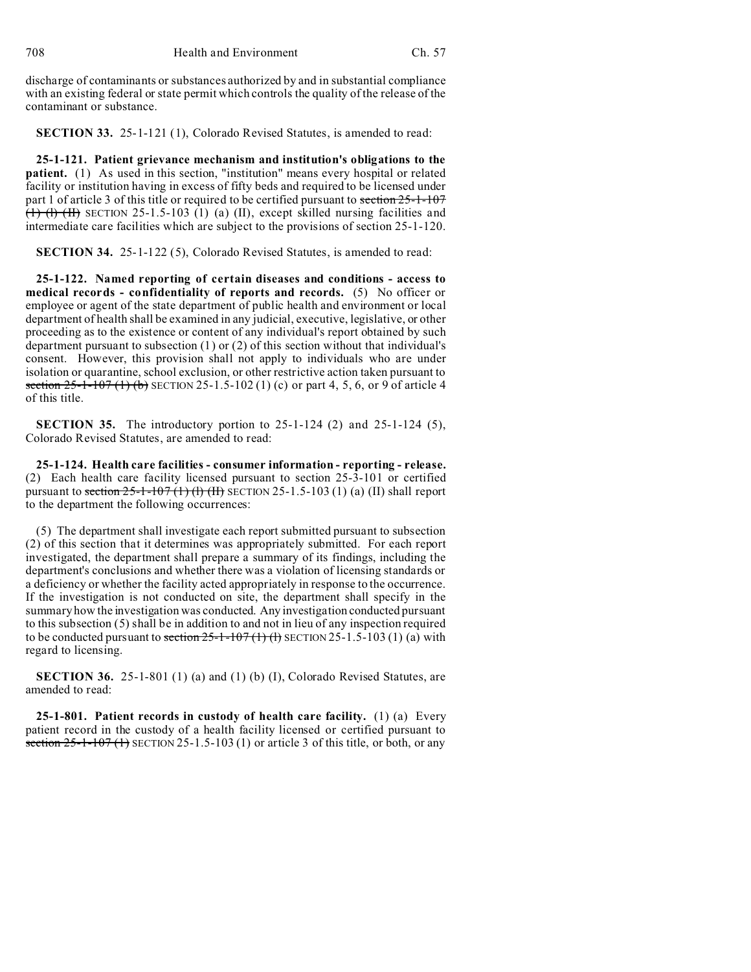discharge of contaminants or substances authorized by and in substantial compliance with an existing federal or state permit which controls the quality of the release of the contaminant or substance.

**SECTION 33.** 25-1-121 (1), Colorado Revised Statutes, is amended to read:

**25-1-121. Patient grievance mechanism and institution's obligations to the patient.** (1) As used in this section, "institution" means every hospital or related facility or institution having in excess of fifty beds and required to be licensed under part 1 of article 3 of this title or required to be certified pursuant to section 25-1-107  $(1)$  (I) (II) SECTION 25-1.5-103 (1) (a) (II), except skilled nursing facilities and intermediate care facilities which are subject to the provisions of section 25-1-120.

**SECTION 34.** 25-1-122 (5), Colorado Revised Statutes, is amended to read:

**25-1-122. Named reporting of certain diseases and conditions - access to medical records - confidentiality of reports and records.** (5) No officer or employee or agent of the state department of public health and environment or local department of health shall be examined in any judicial, executive, legislative, or other proceeding as to the existence or content of any individual's report obtained by such department pursuant to subsection (1) or (2) of this section without that individual's consent. However, this provision shall not apply to individuals who are under isolation or quarantine, school exclusion, or other restrictive action taken pursuant to section  $25-1-107$  (1) (b) SECTION 25-1.5-102 (1) (c) or part 4, 5, 6, or 9 of article 4 of this title.

**SECTION 35.** The introductory portion to 25-1-124 (2) and 25-1-124 (5), Colorado Revised Statutes, are amended to read:

**25-1-124. Health care facilities - consumer information - reporting - release.** (2) Each health care facility licensed pursuant to section 25-3-101 or certified pursuant to section  $25-1-107$  (1) (I) SECTION 25-1.5-103 (1) (a) (II) shall report to the department the following occurrences:

(5) The department shall investigate each report submitted pursuant to subsection (2) of this section that it determines was appropriately submitted. For each report investigated, the department shall prepare a summary of its findings, including the department's conclusions and whether there was a violation of licensing standards or a deficiency or whether the facility acted appropriately in response to the occurrence. If the investigation is not conducted on site, the department shall specify in the summary how the investigation was conducted. Any investigation conducted pursuant to this subsection (5) shall be in addition to and not in lieu of any inspection required to be conducted pursuant to section  $25-1-107(1)$  (1) SECTION  $25-1.5-103(1)$  (a) with regard to licensing.

**SECTION 36.** 25-1-801 (1) (a) and (1) (b) (I), Colorado Revised Statutes, are amended to read:

**25-1-801. Patient records in custody of health care facility.** (1) (a) Every patient record in the custody of a health facility licensed or certified pursuant to section  $25-1-107$  (1) SECTION 25-1.5-103 (1) or article 3 of this title, or both, or any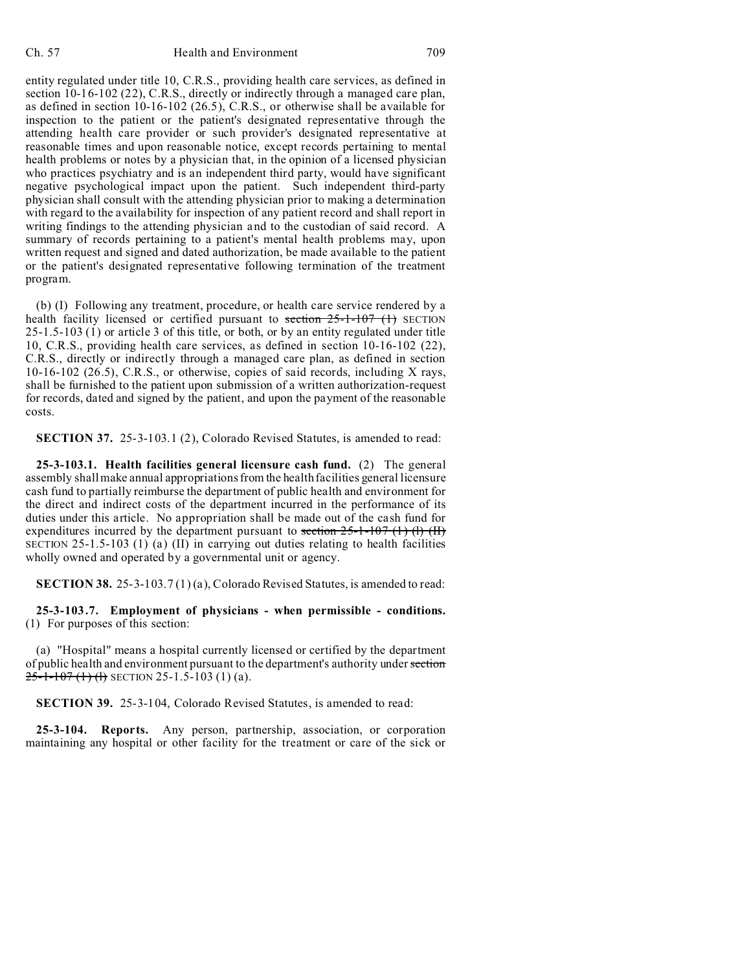program.

entity regulated under title 10, C.R.S., providing health care services, as defined in section 10-16-102 (22), C.R.S., directly or indirectly through a managed care plan, as defined in section 10-16-102 (26.5), C.R.S., or otherwise shall be available for inspection to the patient or the patient's designated representative through the attending health care provider or such provider's designated representative at reasonable times and upon reasonable notice, except records pertaining to mental health problems or notes by a physician that, in the opinion of a licensed physician who practices psychiatry and is an independent third party, would have significant negative psychological impact upon the patient. Such independent third-party physician shall consult with the attending physician prior to making a determination with regard to the availability for inspection of any patient record and shall report in writing findings to the attending physician and to the custodian of said record. A summary of records pertaining to a patient's mental health problems may, upon written request and signed and dated authorization, be made available to the patient or the patient's designated representative following termination of the treatment

(b) (I) Following any treatment, procedure, or health care service rendered by a health facility licensed or certified pursuant to section  $25-1-107$  (1) SECTION 25-1.5-103 (1) or article 3 of this title, or both, or by an entity regulated under title 10, C.R.S., providing health care services, as defined in section 10-16-102 (22), C.R.S., directly or indirectly through a managed care plan, as defined in section 10-16-102 (26.5), C.R.S., or otherwise, copies of said records, including X rays, shall be furnished to the patient upon submission of a written authorization-request for records, dated and signed by the patient, and upon the payment of the reasonable costs.

**SECTION 37.** 25-3-103.1 (2), Colorado Revised Statutes, is amended to read:

**25-3-103.1. Health facilities general licensure cash fund.** (2) The general assembly shall make annual appropriations from the health facilities general licensure cash fund to partially reimburse the department of public health and environment for the direct and indirect costs of the department incurred in the performance of its duties under this article. No appropriation shall be made out of the cash fund for expenditures incurred by the department pursuant to section  $25-1-107$  (1) (I) (II) SECTION 25-1.5-103 (1) (a) (II) in carrying out duties relating to health facilities wholly owned and operated by a governmental unit or agency.

**SECTION 38.** 25-3-103.7 (1) (a), Colorado Revised Statutes, is amended to read:

**25-3-103.7. Employment of physicians - when permissible - conditions.** (1) For purposes of this section:

(a) "Hospital" means a hospital currently licensed or certified by the department of public health and environment pursuant to the department's authority undersection  $25-1-107(1)$  (h) SECTION 25-1.5-103 (1) (a).

**SECTION 39.** 25-3-104, Colorado Revised Statutes, is amended to read:

**25-3-104. Reports.** Any person, partnership, association, or corporation maintaining any hospital or other facility for the treatment or care of the sick or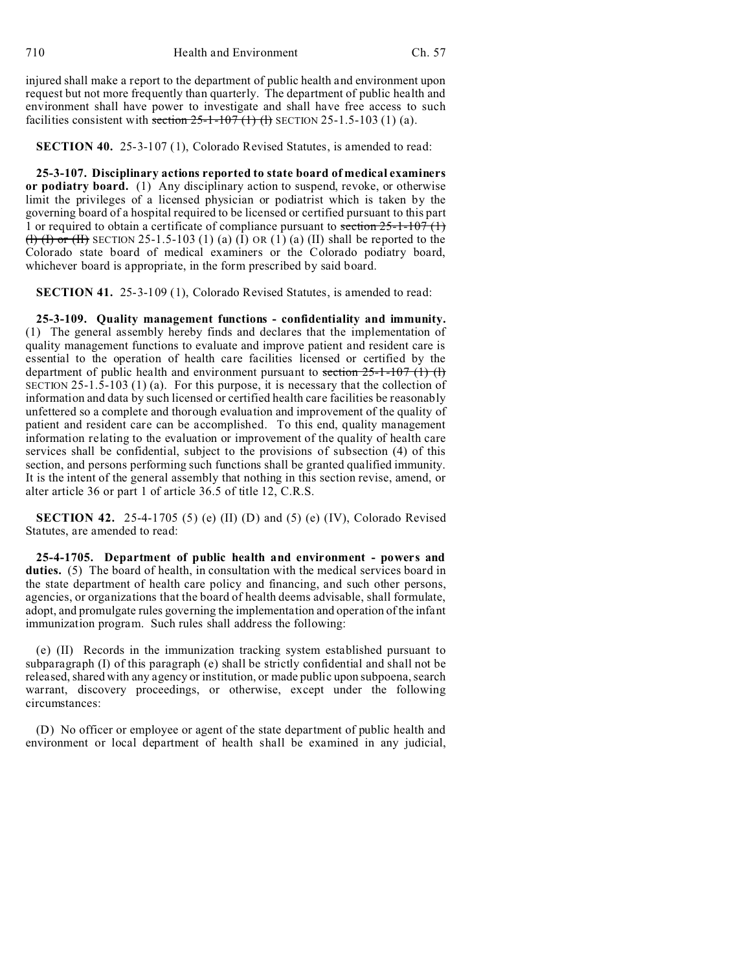injured shall make a report to the department of public health and environment upon request but not more frequently than quarterly. The department of public health and environment shall have power to investigate and shall have free access to such facilities consistent with section  $25$ -1-107 (1) (1) SECTION 25-1.5-103 (1) (a).

**SECTION 40.** 25-3-107 (1), Colorado Revised Statutes, is amended to read:

**25-3-107. Disciplinary actions reported to state board of medical examiners or podiatry board.** (1) Any disciplinary action to suspend, revoke, or otherwise limit the privileges of a licensed physician or podiatrist which is taken by the governing board of a hospital required to be licensed or certified pursuant to this part 1 or required to obtain a certificate of compliance pursuant to section  $25-1-107$  (1) (f) (f) or (H) SECTION 25-1.5-103 (1) (a) (I) OR (1) (a) (II) shall be reported to the Colorado state board of medical examiners or the Colorado podiatry board, whichever board is appropriate, in the form prescribed by said board.

**SECTION 41.** 25-3-109 (1), Colorado Revised Statutes, is amended to read:

**25-3-109. Quality management functions - confidentiality and immunity.** (1) The general assembly hereby finds and declares that the implementation of quality management functions to evaluate and improve patient and resident care is essential to the operation of health care facilities licensed or certified by the department of public health and environment pursuant to section  $25-1-107$  (1) (1) SECTION 25-1.5-103 (1) (a). For this purpose, it is necessary that the collection of information and data by such licensed or certified health care facilities be reasonably unfettered so a complete and thorough evaluation and improvement of the quality of patient and resident care can be accomplished. To this end, quality management information relating to the evaluation or improvement of the quality of health care services shall be confidential, subject to the provisions of subsection (4) of this section, and persons performing such functions shall be granted qualified immunity. It is the intent of the general assembly that nothing in this section revise, amend, or alter article 36 or part 1 of article 36.5 of title 12, C.R.S.

**SECTION 42.** 25-4-1705 (5) (e) (II) (D) and (5) (e) (IV), Colorado Revised Statutes, are amended to read:

**25-4-1705. Department of public health and environment - powers and duties.** (5) The board of health, in consultation with the medical services board in the state department of health care policy and financing, and such other persons, agencies, or organizations that the board of health deems advisable, shall formulate, adopt, and promulgate rules governing the implementation and operation of the infant immunization program. Such rules shall address the following:

(e) (II) Records in the immunization tracking system established pursuant to subparagraph (I) of this paragraph (e) shall be strictly confidential and shall not be released, shared with any agency or institution, or made public upon subpoena, search warrant, discovery proceedings, or otherwise, except under the following circumstances:

(D) No officer or employee or agent of the state department of public health and environment or local department of health shall be examined in any judicial,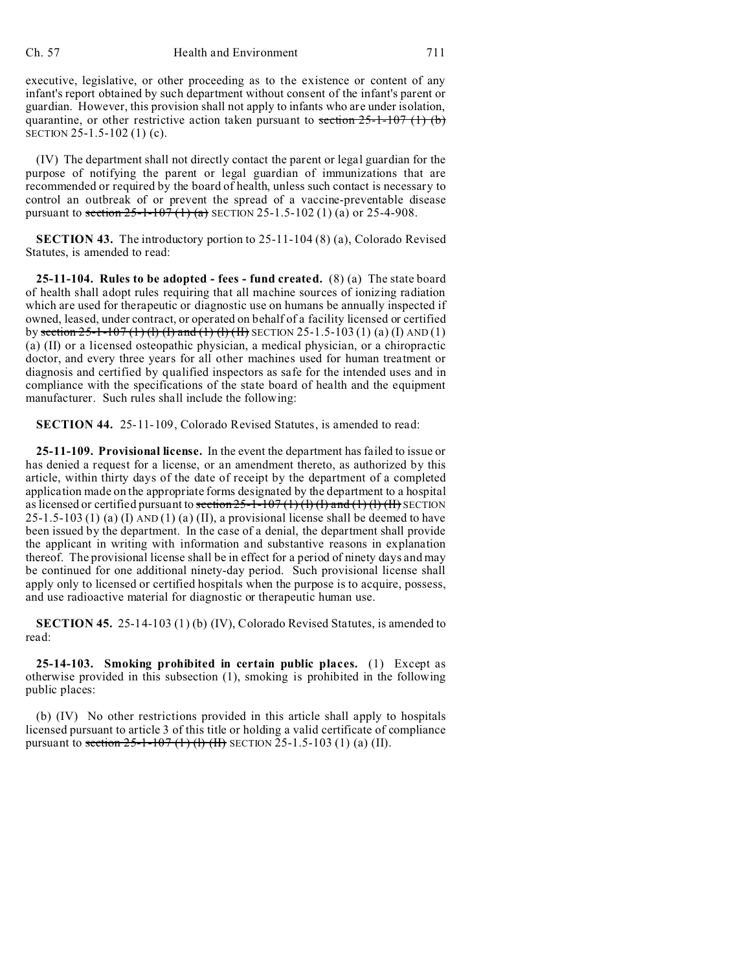#### Ch. 57 Health and Environment 711

executive, legislative, or other proceeding as to the existence or content of any infant's report obtained by such department without consent of the infant's parent or guardian. However, this provision shall not apply to infants who are under isolation, quarantine, or other restrictive action taken pursuant to section  $25-1-107$  (1) (b) SECTION 25-1.5-102 (1) (c).

(IV) The department shall not directly contact the parent or legal guardian for the purpose of notifying the parent or legal guardian of immunizations that are recommended or required by the board of health, unless such contact is necessary to control an outbreak of or prevent the spread of a vaccine-preventable disease pursuant to section  $25-1-107(1)$  (a) SECTION 25-1.5-102 (1) (a) or 25-4-908.

**SECTION 43.** The introductory portion to 25-11-104 (8) (a), Colorado Revised Statutes, is amended to read:

**25-11-104. Rules to be adopted - fees - fund created.** (8) (a) The state board of health shall adopt rules requiring that all machine sources of ionizing radiation which are used for therapeutic or diagnostic use on humans be annually inspected if owned, leased, under contract, or operated on behalf of a facility licensed or certified by section  $25-1-107(1)$  (I) and (1) (I) (II) SECTION 25-1.5-103 (1) (a) (I) AND (1) (a) (II) or a licensed osteopathic physician, a medical physician, or a chiropractic doctor, and every three years for all other machines used for human treatment or diagnosis and certified by qualified inspectors as safe for the intended uses and in compliance with the specifications of the state board of health and the equipment manufacturer. Such rules shall include the following:

**SECTION 44.** 25-11-109, Colorado Revised Statutes, is amended to read:

**25-11-109. Provisional license.** In the event the department has failed to issue or has denied a request for a license, or an amendment thereto, as authorized by this article, within thirty days of the date of receipt by the department of a completed application made on the appropriate forms designated by the department to a hospital as licensed or certified pursuant to section  $25$ -1-107 (1) (1) (1) and (1) (1) (II) SECTION  $25-1.5-103$  (1) (a) (I) AND (1) (a) (II), a provisional license shall be deemed to have been issued by the department. In the case of a denial, the department shall provide the applicant in writing with information and substantive reasons in explanation thereof. The provisional license shall be in effect for a period of ninety days and may be continued for one additional ninety-day period. Such provisional license shall apply only to licensed or certified hospitals when the purpose is to acquire, possess, and use radioactive material for diagnostic or therapeutic human use.

**SECTION 45.** 25-14-103 (1) (b) (IV), Colorado Revised Statutes, is amended to read:

**25-14-103. Smoking prohibited in certain public places.** (1) Except as otherwise provided in this subsection (1), smoking is prohibited in the following public places:

(b) (IV) No other restrictions provided in this article shall apply to hospitals licensed pursuant to article 3 of this title or holding a valid certificate of compliance pursuant to section  $25-1-107$  (1) (II) SECTION 25-1.5-103 (1) (a) (II).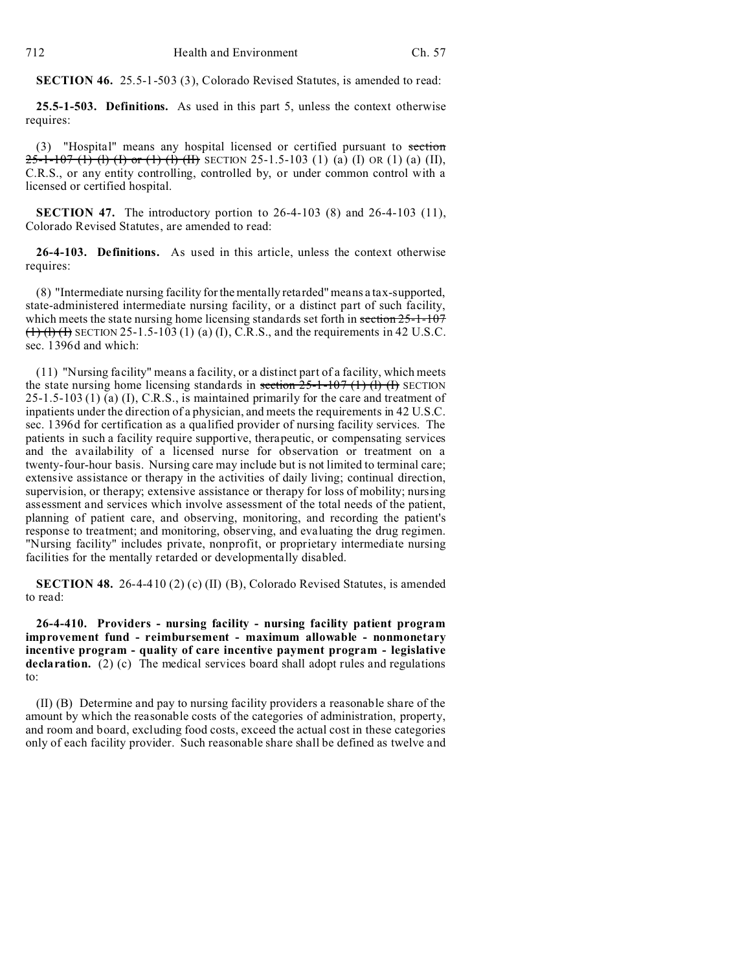**SECTION 46.** 25.5-1-503 (3), Colorado Revised Statutes, is amended to read:

**25.5-1-503. Definitions.** As used in this part 5, unless the context otherwise requires:

(3) "Hospital" means any hospital licensed or certified pursuant to section  $25-1-107$  (1) (1) or (1) (1) (H) SECTION 25-1.5-103 (1) (a) (I) OR (1) (a) (II), C.R.S., or any entity controlling, controlled by, or under common control with a licensed or certified hospital.

**SECTION 47.** The introductory portion to 26-4-103 (8) and 26-4-103 (11), Colorado Revised Statutes, are amended to read:

**26-4-103. Definitions.** As used in this article, unless the context otherwise requires:

(8) "Intermediate nursing facility for the mentally retarded" means a tax-supported, state-administered intermediate nursing facility, or a distinct part of such facility, which meets the state nursing home licensing standards set forth in section 25-1-107  $(1)$  (I) (I) SECTION 25-1.5-103 (1) (a) (I), C.R.S., and the requirements in 42 U.S.C. sec. 1396d and which:

(11) "Nursing facility" means a facility, or a distinct part of a facility, which meets the state nursing home licensing standards in section  $25-1-107$  (1) (1) (I) SECTION 25-1.5-103 (1) (a) (I), C.R.S., is maintained primarily for the care and treatment of inpatients under the direction of a physician, and meets the requirements in 42 U.S.C. sec. 1396d for certification as a qualified provider of nursing facility services. The patients in such a facility require supportive, therapeutic, or compensating services and the availability of a licensed nurse for observation or treatment on a twenty-four-hour basis. Nursing care may include but is not limited to terminal care; extensive assistance or therapy in the activities of daily living; continual direction, supervision, or therapy; extensive assistance or therapy for loss of mobility; nursing assessment and services which involve assessment of the total needs of the patient, planning of patient care, and observing, monitoring, and recording the patient's response to treatment; and monitoring, observing, and evaluating the drug regimen. "Nursing facility" includes private, nonprofit, or proprietary intermediate nursing facilities for the mentally retarded or developmentally disabled.

**SECTION 48.** 26-4-410 (2) (c) (II) (B), Colorado Revised Statutes, is amended to read:

**26-4-410. Providers - nursing facility - nursing facility patient program improvement fund - reimbursement - maximum allowable - nonmonetary incentive program - quality of care incentive payment program - legislative declaration.** (2) (c) The medical services board shall adopt rules and regulations to:

(II) (B) Determine and pay to nursing facility providers a reasonable share of the amount by which the reasonable costs of the categories of administration, property, and room and board, excluding food costs, exceed the actual cost in these categories only of each facility provider. Such reasonable share shall be defined as twelve and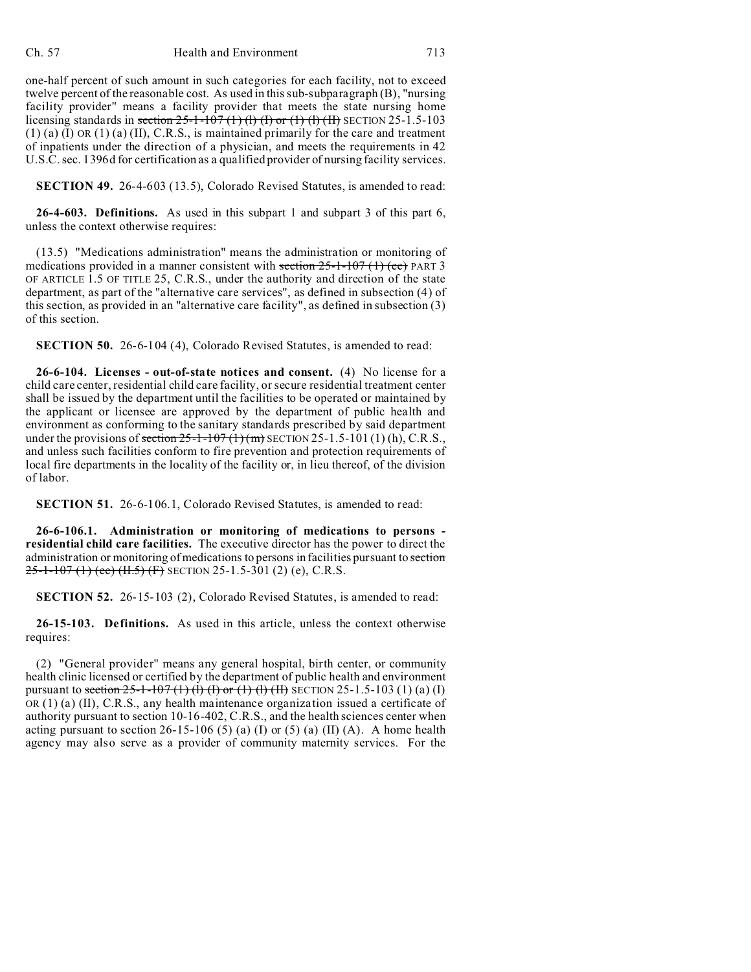one-half percent of such amount in such categories for each facility, not to exceed twelve percent of the reasonable cost. As used in this sub-subparagraph (B), "nursing facility provider" means a facility provider that meets the state nursing home licensing standards in section  $25-1-107$  (1) (l) (l) or (1) (l) (II) SECTION 25-1.5-103 (1) (a) (I) OR (1) (a) (II), C.R.S., is maintained primarily for the care and treatment of inpatients under the direction of a physician, and meets the requirements in 42 U.S.C. sec. 1396d for certification as a qualified provider of nursing facility services.

**SECTION 49.** 26-4-603 (13.5), Colorado Revised Statutes, is amended to read:

**26-4-603. Definitions.** As used in this subpart 1 and subpart 3 of this part 6, unless the context otherwise requires:

(13.5) "Medications administration" means the administration or monitoring of medications provided in a manner consistent with section  $25-1-107$  (1) (ee) PART 3 OF ARTICLE 1.5 OF TITLE 25, C.R.S., under the authority and direction of the state department, as part of the "alternative care services", as defined in subsection (4) of this section, as provided in an "alternative care facility", as defined in subsection (3) of this section.

**SECTION 50.** 26-6-104 (4), Colorado Revised Statutes, is amended to read:

**26-6-104. Licenses - out-of-state notices and consent.** (4) No license for a child care center, residential child care facility, or secure residential treatment center shall be issued by the department until the facilities to be operated or maintained by the applicant or licensee are approved by the department of public health and environment as conforming to the sanitary standards prescribed by said department under the provisions of section  $25$ -1-107 (1) (m) SECTION 25-1.5-101 (1) (h), C.R.S., and unless such facilities conform to fire prevention and protection requirements of local fire departments in the locality of the facility or, in lieu thereof, of the division of labor.

**SECTION 51.** 26-6-106.1, Colorado Revised Statutes, is amended to read:

**26-6-106.1. Administration or monitoring of medications to persons residential child care facilities.** The executive director has the power to direct the administration or monitoring of medications to persons in facilities pursuant to section  $25$ -1-107 (1) (ee) (H.5) (F) SECTION 25-1.5-301 (2) (e), C.R.S.

**SECTION 52.** 26-15-103 (2), Colorado Revised Statutes, is amended to read:

**26-15-103. Definitions.** As used in this article, unless the context otherwise requires:

(2) "General provider" means any general hospital, birth center, or community health clinic licensed or certified by the department of public health and environment pursuant to section  $25-1-107$  (1) (1) or (1) (1) (H) SECTION 25-1.5-103 (1) (a) (I) OR (1) (a) (II), C.R.S., any health maintenance organization issued a certificate of authority pursuant to section 10-16-402, C.R.S., and the health sciences center when acting pursuant to section  $26-15-106$  (5) (a) (I) or (5) (a) (II) (A). A home health agency may also serve as a provider of community maternity services. For the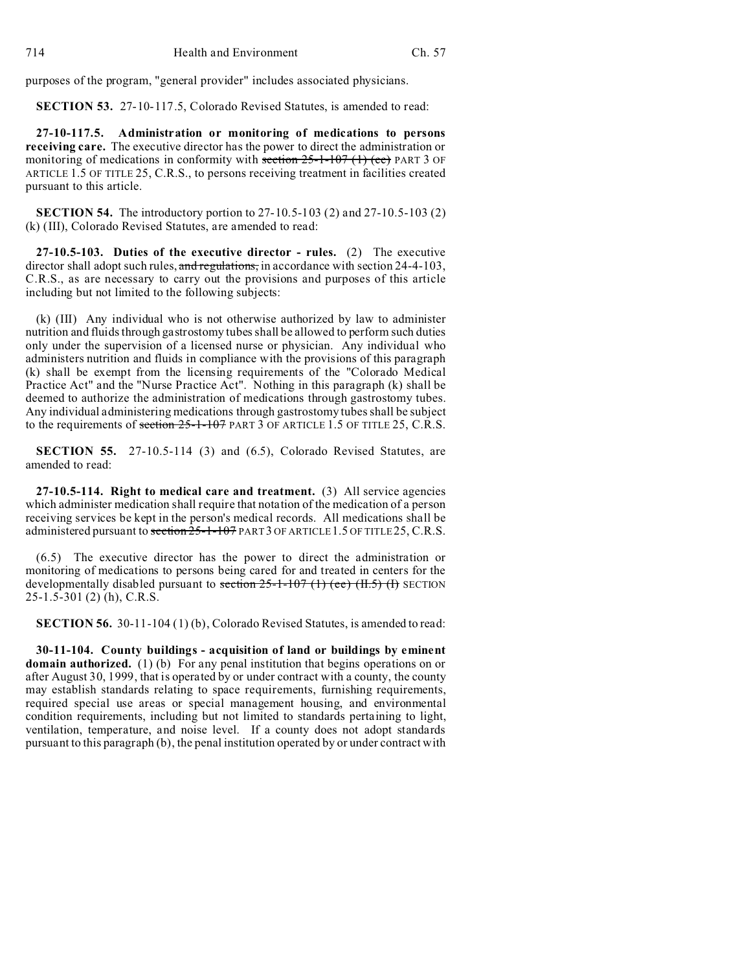purposes of the program, "general provider" includes associated physicians.

**SECTION 53.** 27-10-117.5, Colorado Revised Statutes, is amended to read:

**27-10-117.5. Administration or monitoring of medications to persons receiving care.** The executive director has the power to direct the administration or monitoring of medications in conformity with section  $25$ -1-107 (1) (ee) PART 3 OF ARTICLE 1.5 OF TITLE 25, C.R.S., to persons receiving treatment in facilities created pursuant to this article.

**SECTION 54.** The introductory portion to 27-10.5-103 (2) and 27-10.5-103 (2) (k) (III), Colorado Revised Statutes, are amended to read:

**27-10.5-103. Duties of the executive director - rules.** (2) The executive director shall adopt such rules, and regulations, in accordance with section  $24-4-103$ , C.R.S., as are necessary to carry out the provisions and purposes of this article including but not limited to the following subjects:

(k) (III) Any individual who is not otherwise authorized by law to administer nutrition and fluids through gastrostomy tubes shall be allowed to perform such duties only under the supervision of a licensed nurse or physician. Any individual who administers nutrition and fluids in compliance with the provisions of this paragraph (k) shall be exempt from the licensing requirements of the "Colorado Medical Practice Act" and the "Nurse Practice Act". Nothing in this paragraph (k) shall be deemed to authorize the administration of medications through gastrostomy tubes. Any individual administering medications through gastrostomy tubes shall be subject to the requirements of section 25-1-107 PART 3 OF ARTICLE 1.5 OF TITLE 25, C.R.S.

**SECTION 55.** 27-10.5-114 (3) and (6.5), Colorado Revised Statutes, are amended to read:

**27-10.5-114. Right to medical care and treatment.** (3) All service agencies which administer medication shall require that notation of the medication of a person receiving services be kept in the person's medical records. All medications shall be administered pursuant to section  $25$ -1-107 PART3 OF ARTICLE 1.5 OF TITLE 25, C.R.S.

(6.5) The executive director has the power to direct the administration or monitoring of medications to persons being cared for and treated in centers for the developmentally disabled pursuant to section  $25$ -1-107 (1) (ee) (II.5) (I) SECTION 25-1.5-301 (2) (h), C.R.S.

**SECTION 56.** 30-11-104 (1) (b), Colorado Revised Statutes, is amended to read:

**30-11-104. County buildings - acquisition of land or buildings by eminent domain authorized.** (1) (b) For any penal institution that begins operations on or after August 30, 1999, that is operated by or under contract with a county, the county may establish standards relating to space requirements, furnishing requirements, required special use areas or special management housing, and environmental condition requirements, including but not limited to standards pertaining to light, ventilation, temperature, and noise level. If a county does not adopt standards pursuant to this paragraph (b), the penal institution operated by or under contract with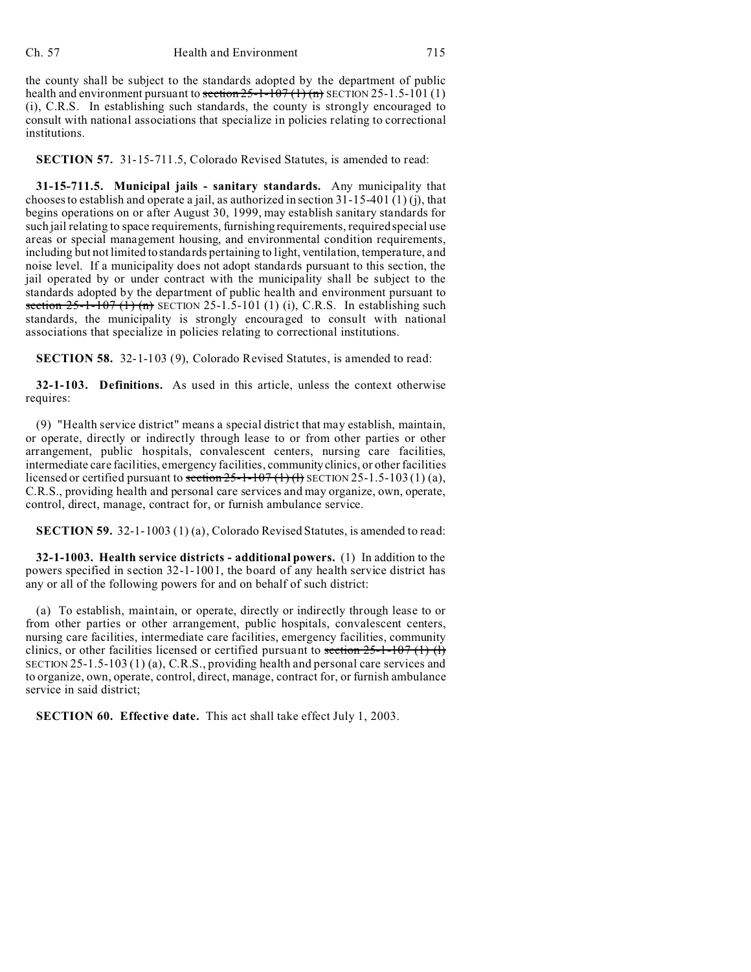the county shall be subject to the standards adopted by the department of public health and environment pursuant to section  $25-1-107(1)$  (n) SECTION 25-1.5-101 (1) (i), C.R.S. In establishing such standards, the county is strongly encouraged to consult with national associations that specialize in policies relating to correctional institutions.

**SECTION 57.** 31-15-711.5, Colorado Revised Statutes, is amended to read:

**31-15-711.5. Municipal jails - sanitary standards.** Any municipality that chooses to establish and operate a jail, as authorized in section 31-15-401 (1) (j), that begins operations on or after August 30, 1999, may establish sanitary standards for such jail relating to space requirements, furnishing requirements, required special use areas or special management housing, and environmental condition requirements, including but not limited to standards pertaining to light, ventilation, temperature, and noise level. If a municipality does not adopt standards pursuant to this section, the jail operated by or under contract with the municipality shall be subject to the standards adopted by the department of public health and environment pursuant to section  $25-1-107$  (1) (n) SECTION 25-1.5-101 (1) (i), C.R.S. In establishing such standards, the municipality is strongly encouraged to consult with national associations that specialize in policies relating to correctional institutions.

**SECTION 58.** 32-1-103 (9), Colorado Revised Statutes, is amended to read:

**32-1-103. Definitions.** As used in this article, unless the context otherwise requires:

(9) "Health service district" means a special district that may establish, maintain, or operate, directly or indirectly through lease to or from other parties or other arrangement, public hospitals, convalescent centers, nursing care facilities, intermediate care facilities, emergency facilities, communityclinics, or other facilities licensed or certified pursuant to section  $25-1-107(1)$  (l) SECTION 25-1.5-103 (1) (a), C.R.S., providing health and personal care services and may organize, own, operate, control, direct, manage, contract for, or furnish ambulance service.

**SECTION 59.** 32-1-1003 (1) (a), Colorado Revised Statutes, is amended to read:

**32-1-1003. Health service districts - additional powers.** (1) In addition to the powers specified in section 32-1-1001, the board of any health service district has any or all of the following powers for and on behalf of such district:

(a) To establish, maintain, or operate, directly or indirectly through lease to or from other parties or other arrangement, public hospitals, convalescent centers, nursing care facilities, intermediate care facilities, emergency facilities, community clinics, or other facilities licensed or certified pursuant to section  $25-1-107$  (1) (1) SECTION 25-1.5-103 (1) (a), C.R.S., providing health and personal care services and to organize, own, operate, control, direct, manage, contract for, or furnish ambulance service in said district;

**SECTION 60. Effective date.** This act shall take effect July 1, 2003.